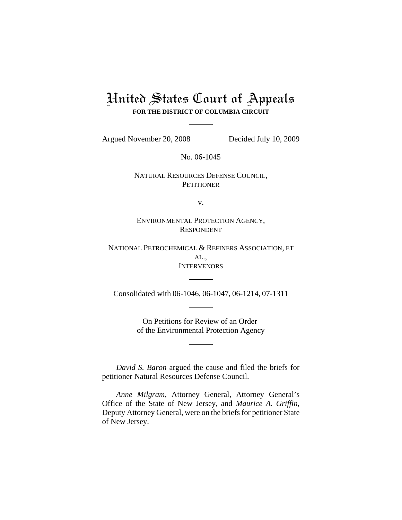# United States Court of Appeals **FOR THE DISTRICT OF COLUMBIA CIRCUIT**

Argued November 20, 2008 Decided July 10, 2009

No. 06-1045

# NATURAL RESOURCES DEFENSE COUNCIL, **PETITIONER**

v.

ENVIRONMENTAL PROTECTION AGENCY, RESPONDENT

NATIONAL PETROCHEMICAL & REFINERS ASSOCIATION, ET AL., **INTERVENORS** 

Consolidated with 06-1046, 06-1047, 06-1214, 07-1311

On Petitions for Review of an Order of the Environmental Protection Agency

*David S. Baron* argued the cause and filed the briefs for petitioner Natural Resources Defense Council.

*Anne Milgram*, Attorney General, Attorney General's Office of the State of New Jersey, and *Maurice A. Griffin*, Deputy Attorney General, were on the briefs for petitioner State of New Jersey.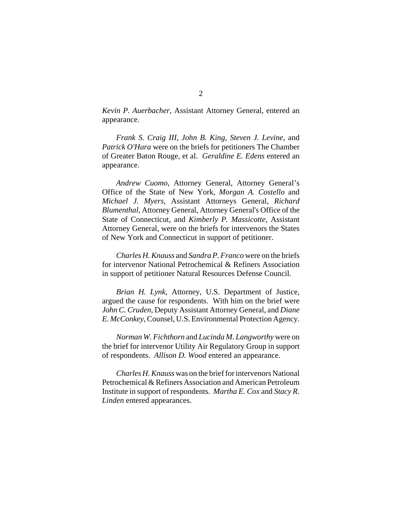*Kevin P. Auerbacher*, Assistant Attorney General, entered an appearance.

*Frank S. Craig III*, *John B. King*, *Steven J. Levine*, and *Patrick O'Hara* were on the briefs for petitioners The Chamber of Greater Baton Rouge, et al. *Geraldine E. Edens* entered an appearance.

*Andrew Cuomo*, Attorney General, Attorney General's Office of the State of New York, *Morgan A. Costello* and *Michael J. Myers*, Assistant Attorneys General, *Richard Blumenthal*, Attorney General, Attorney General's Office of the State of Connecticut, and *Kimberly P. Massicotte*, Assistant Attorney General, were on the briefs for intervenors the States of New York and Connecticut in support of petitioner.

*Charles H. Knauss* and *Sandra P. Franco* were on the briefs for intervenor National Petrochemical & Refiners Association in support of petitioner Natural Resources Defense Council.

*Brian H. Lynk*, Attorney, U.S. Department of Justice, argued the cause for respondents. With him on the brief were *John C. Cruden*, Deputy Assistant Attorney General, and *Diane E. McConkey*, Counsel, U.S. Environmental Protection Agency.

*Norman W. Fichthorn* and *Lucinda M. Langworthy* were on the brief for intervenor Utility Air Regulatory Group in support of respondents. *Allison D. Wood* entered an appearance.

*Charles H. Knauss* was on the brief for intervenors National Petrochemical & Refiners Association and American Petroleum Institute in support of respondents. *Martha E. Cox* and *Stacy R. Linden* entered appearances.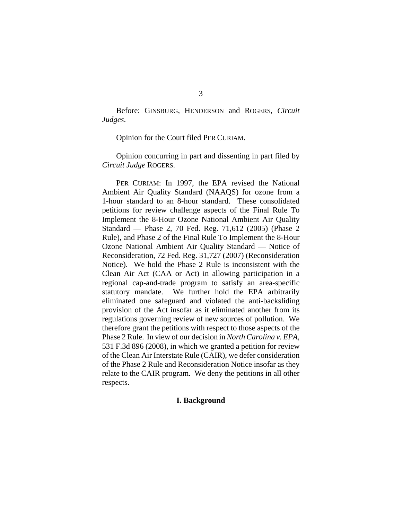Before: GINSBURG, HENDERSON and ROGERS, *Circuit Judges*.

Opinion for the Court filed PER CURIAM.

Opinion concurring in part and dissenting in part filed by *Circuit Judge* ROGERS.

PER CURIAM: In 1997, the EPA revised the National Ambient Air Quality Standard (NAAQS) for ozone from a 1-hour standard to an 8-hour standard. These consolidated petitions for review challenge aspects of the Final Rule To Implement the 8-Hour Ozone National Ambient Air Quality Standard — Phase 2, 70 Fed. Reg. 71,612 (2005) (Phase 2 Rule), and Phase 2 of the Final Rule To Implement the 8-Hour Ozone National Ambient Air Quality Standard — Notice of Reconsideration, 72 Fed. Reg. 31,727 (2007) (Reconsideration Notice). We hold the Phase 2 Rule is inconsistent with the Clean Air Act (CAA or Act) in allowing participation in a regional cap-and-trade program to satisfy an area-specific statutory mandate. We further hold the EPA arbitrarily eliminated one safeguard and violated the anti-backsliding provision of the Act insofar as it eliminated another from its regulations governing review of new sources of pollution. We therefore grant the petitions with respect to those aspects of the Phase 2 Rule. In view of our decision in *North Carolina v. EPA*, 531 F.3d 896 (2008), in which we granted a petition for review of the Clean Air Interstate Rule (CAIR), we defer consideration of the Phase 2 Rule and Reconsideration Notice insofar as they relate to the CAIR program. We deny the petitions in all other respects.

# **I. Background**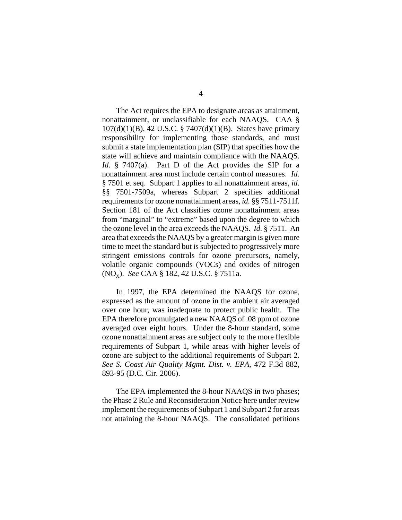The Act requires the EPA to designate areas as attainment, nonattainment, or unclassifiable for each NAAQS. CAA § 107(d)(1)(B), 42 U.S.C. § 7407(d)(1)(B). States have primary responsibility for implementing those standards, and must submit a state implementation plan (SIP) that specifies how the state will achieve and maintain compliance with the NAAQS. *Id.* § 7407(a). Part D of the Act provides the SIP for a nonattainment area must include certain control measures. *Id.* § 7501 et seq. Subpart 1 applies to all nonattainment areas, *id.* §§ 7501-7509a, whereas Subpart 2 specifies additional requirements for ozone nonattainment areas, *id.* §§ 7511-7511f. Section 181 of the Act classifies ozone nonattainment areas from "marginal" to "extreme" based upon the degree to which the ozone level in the area exceeds the NAAQS. *Id.* § 7511. An area that exceeds the NAAQS by a greater margin is given more time to meet the standard but is subjected to progressively more stringent emissions controls for ozone precursors, namely, volatile organic compounds (VOCs) and oxides of nitrogen (NO<sub>x</sub>). *See* CAA § 182, 42 U.S.C. § 7511a.

In 1997, the EPA determined the NAAQS for ozone, expressed as the amount of ozone in the ambient air averaged over one hour, was inadequate to protect public health. The EPA therefore promulgated a new NAAQS of .08 ppm of ozone averaged over eight hours. Under the 8-hour standard, some ozone nonattainment areas are subject only to the more flexible requirements of Subpart 1, while areas with higher levels of ozone are subject to the additional requirements of Subpart 2. *See S. Coast Air Quality Mgmt. Dist. v. EPA*, 472 F.3d 882, 893-95 (D.C. Cir. 2006).

The EPA implemented the 8-hour NAAQS in two phases; the Phase 2 Rule and Reconsideration Notice here under review implement the requirements of Subpart 1 and Subpart 2 for areas not attaining the 8-hour NAAQS. The consolidated petitions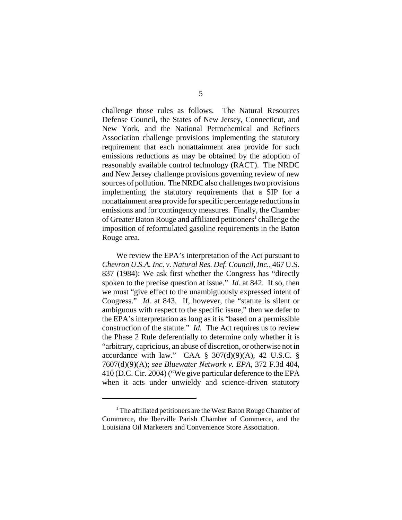challenge those rules as follows. The Natural Resources Defense Council, the States of New Jersey, Connecticut, and New York, and the National Petrochemical and Refiners Association challenge provisions implementing the statutory requirement that each nonattainment area provide for such emissions reductions as may be obtained by the adoption of reasonably available control technology (RACT). The NRDC and New Jersey challenge provisions governing review of new sources of pollution. The NRDC also challenges two provisions implementing the statutory requirements that a SIP for a nonattainment area provide for specific percentage reductions in emissions and for contingency measures. Finally, the Chamber of Greater Baton Rouge and affiliated petitioners<sup>1</sup> challenge the imposition of reformulated gasoline requirements in the Baton Rouge area.

We review the EPA's interpretation of the Act pursuant to *Chevron U.S.A. Inc. v. Natural Res. Def. Council, Inc.*, 467 U.S. 837 (1984): We ask first whether the Congress has "directly spoken to the precise question at issue." *Id.* at 842. If so, then we must "give effect to the unambiguously expressed intent of Congress." *Id.* at 843. If, however, the "statute is silent or ambiguous with respect to the specific issue," then we defer to the EPA's interpretation as long as it is "based on a permissible construction of the statute." *Id.* The Act requires us to review the Phase 2 Rule deferentially to determine only whether it is "arbitrary, capricious, an abuse of discretion, or otherwise not in accordance with law." CAA  $\S$  307(d)(9)(A), 42 U.S.C.  $\S$ 7607(d)(9)(A); *see Bluewater Network v. EPA*, 372 F.3d 404, 410 (D.C. Cir. 2004) ("We give particular deference to the EPA when it acts under unwieldy and science-driven statutory

<sup>&</sup>lt;sup>1</sup> The affiliated petitioners are the West Baton Rouge Chamber of Commerce, the Iberville Parish Chamber of Commerce, and the Louisiana Oil Marketers and Convenience Store Association.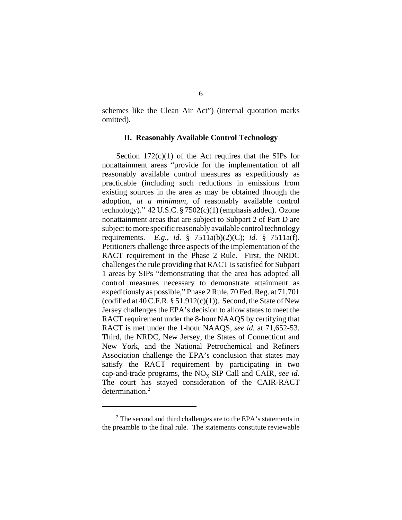schemes like the Clean Air Act") (internal quotation marks omitted).

### **II. Reasonably Available Control Technology**

Section  $172(c)(1)$  of the Act requires that the SIPs for nonattainment areas "provide for the implementation of all reasonably available control measures as expeditiously as practicable (including such reductions in emissions from existing sources in the area as may be obtained through the adoption, *at a minimum*, of reasonably available control technology)." 42 U.S.C. § 7502(c)(1) (emphasis added). Ozone nonattainment areas that are subject to Subpart 2 of Part D are subject to more specific reasonably available control technology requirements. *E.g., id.* § 7511a(b)(2)(C); *id.* § 7511a(f). Petitioners challenge three aspects of the implementation of the RACT requirement in the Phase 2 Rule. First, the NRDC challenges the rule providing that RACT is satisfied for Subpart 1 areas by SIPs "demonstrating that the area has adopted all control measures necessary to demonstrate attainment as expeditiously as possible," Phase 2 Rule, 70 Fed. Reg. at 71,701 (codified at  $40$  C.F.R.  $\S 51.912(c)(1)$ ). Second, the State of New Jersey challenges the EPA's decision to allow states to meet the RACT requirement under the 8-hour NAAQS by certifying that RACT is met under the 1-hour NAAQS, *see id.* at 71,652-53. Third, the NRDC, New Jersey, the States of Connecticut and New York, and the National Petrochemical and Refiners Association challenge the EPA's conclusion that states may satisfy the RACT requirement by participating in two cap-and-trade programs, the  $NO<sub>x</sub>$  SIP Call and CAIR, *see id.* The court has stayed consideration of the CAIR-RACT determination.<sup>2</sup>

<sup>&</sup>lt;sup>2</sup> The second and third challenges are to the EPA's statements in the preamble to the final rule. The statements constitute reviewable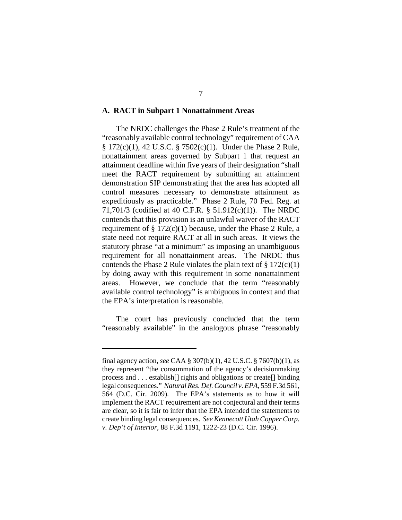#### **A. RACT in Subpart 1 Nonattainment Areas**

The NRDC challenges the Phase 2 Rule's treatment of the "reasonably available control technology" requirement of CAA § 172(c)(1), 42 U.S.C. § 7502(c)(1). Under the Phase 2 Rule, nonattainment areas governed by Subpart 1 that request an attainment deadline within five years of their designation "shall meet the RACT requirement by submitting an attainment demonstration SIP demonstrating that the area has adopted all control measures necessary to demonstrate attainment as expeditiously as practicable." Phase 2 Rule, 70 Fed. Reg. at 71,701/3 (codified at 40 C.F.R. § 51.912(c)(1)). The NRDC contends that this provision is an unlawful waiver of the RACT requirement of  $\S 172(c)(1)$  because, under the Phase 2 Rule, a state need not require RACT at all in such areas. It views the statutory phrase "at a minimum" as imposing an unambiguous requirement for all nonattainment areas. The NRDC thus contends the Phase 2 Rule violates the plain text of  $\S 172(c)(1)$ by doing away with this requirement in some nonattainment areas. However, we conclude that the term "reasonably available control technology" is ambiguous in context and that the EPA's interpretation is reasonable.

The court has previously concluded that the term "reasonably available" in the analogous phrase "reasonably

final agency action, *see* CAA § 307(b)(1), 42 U.S.C. § 7607(b)(1), as they represent "the consummation of the agency's decisionmaking process and . . . establish[] rights and obligations or create[] binding legal consequences." *Natural Res. Def. Council v. EPA*, 559 F.3d 561, 564 (D.C. Cir. 2009). The EPA's statements as to how it will implement the RACT requirement are not conjectural and their terms are clear, so it is fair to infer that the EPA intended the statements to create binding legal consequences. *See Kennecott Utah Copper Corp. v. Dep't of Interior*, 88 F.3d 1191, 1222-23 (D.C. Cir. 1996).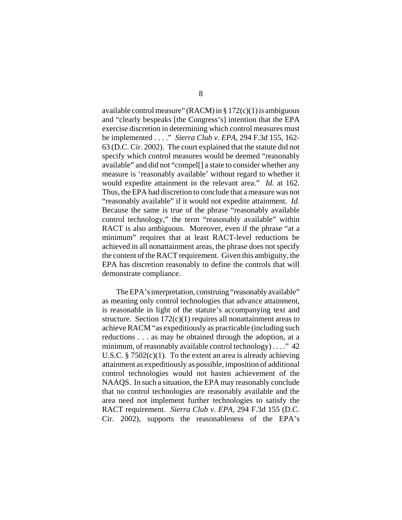available control measure" (RACM) in  $\S 172(c)(1)$  is ambiguous and "clearly bespeaks [the Congress's] intention that the EPA exercise discretion in determining which control measures must be implemented . . . ." *Sierra Club v. EPA*, 294 F.3d 155, 162- 63 (D.C. Cir. 2002). The court explained that the statute did not specify which control measures would be deemed "reasonably available" and did not "compel[] a state to consider whether any measure is 'reasonably available' without regard to whether it would expedite attainment in the relevant area." *Id.* at 162. Thus, the EPA had discretion to conclude that a measure was not "reasonably available" if it would not expedite attainment. *Id.* Because the same is true of the phrase "reasonably available control technology," the term "reasonably available" within RACT is also ambiguous. Moreover, even if the phrase "at a minimum" requires that at least RACT-level reductions be achieved in all nonattainment areas, the phrase does not specify the content of the RACT requirement. Given this ambiguity, the EPA has discretion reasonably to define the controls that will demonstrate compliance.

The EPA's interpretation, construing "reasonably available" as meaning only control technologies that advance attainment, is reasonable in light of the statute's accompanying text and structure. Section  $172(c)(1)$  requires all nonattainment areas to achieve RACM "as expeditiously as practicable (including such reductions . . . as may be obtained through the adoption, at a minimum, of reasonably available control technology) . . . ." 42 U.S.C.  $\S 7502(c)(1)$ . To the extent an area is already achieving attainment as expeditiously as possible, imposition of additional control technologies would not hasten achievement of the NAAQS. In such a situation, the EPA may reasonably conclude that no control technologies are reasonably available and the area need not implement further technologies to satisfy the RACT requirement. *Sierra Club v. EPA*, 294 F.3d 155 (D.C. Cir. 2002), supports the reasonableness of the EPA's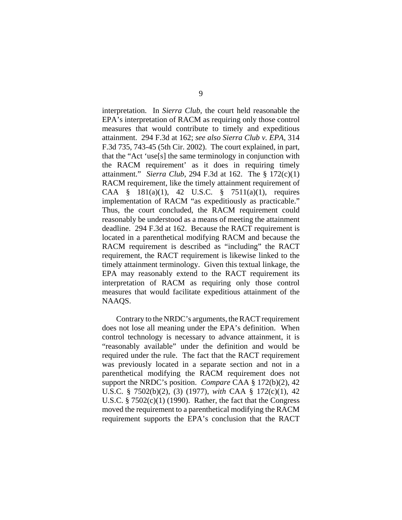interpretation. In *Sierra Club*, the court held reasonable the EPA's interpretation of RACM as requiring only those control measures that would contribute to timely and expeditious attainment. 294 F.3d at 162; *see also Sierra Club v. EPA*, 314 F.3d 735, 743-45 (5th Cir. 2002). The court explained, in part, that the "Act 'use[s] the same terminology in conjunction with the RACM requirement' as it does in requiring timely attainment." *Sierra Club*, 294 F.3d at 162. The § 172(c)(1) RACM requirement, like the timely attainment requirement of CAA § 181(a)(1), 42 U.S.C. § 7511(a)(1), requires implementation of RACM "as expeditiously as practicable." Thus, the court concluded, the RACM requirement could reasonably be understood as a means of meeting the attainment deadline. 294 F.3d at 162. Because the RACT requirement is located in a parenthetical modifying RACM and because the RACM requirement is described as "including" the RACT requirement, the RACT requirement is likewise linked to the timely attainment terminology. Given this textual linkage, the EPA may reasonably extend to the RACT requirement its interpretation of RACM as requiring only those control measures that would facilitate expeditious attainment of the NAAQS.

Contrary to the NRDC's arguments, the RACT requirement does not lose all meaning under the EPA's definition. When control technology is necessary to advance attainment, it is "reasonably available" under the definition and would be required under the rule. The fact that the RACT requirement was previously located in a separate section and not in a parenthetical modifying the RACM requirement does not support the NRDC's position. *Compare* CAA § 172(b)(2), 42 U.S.C. § 7502(b)(2), (3) (1977), *with* CAA § 172(c)(1), 42 U.S.C.  $\S 7502(c)(1)$  (1990). Rather, the fact that the Congress moved the requirement to a parenthetical modifying the RACM requirement supports the EPA's conclusion that the RACT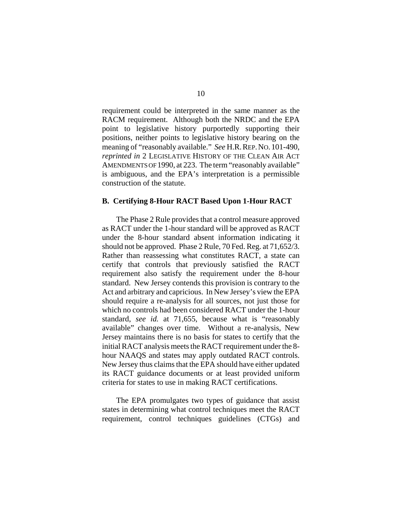requirement could be interpreted in the same manner as the RACM requirement. Although both the NRDC and the EPA point to legislative history purportedly supporting their positions, neither points to legislative history bearing on the meaning of "reasonably available." *See* H.R.REP.NO. 101-490, *reprinted in* 2 LEGISLATIVE HISTORY OF THE CLEAN AIR ACT AMENDMENTS OF 1990, at 223. The term "reasonably available" is ambiguous, and the EPA's interpretation is a permissible construction of the statute.

#### **B. Certifying 8-Hour RACT Based Upon 1-Hour RACT**

The Phase 2 Rule provides that a control measure approved as RACT under the 1-hour standard will be approved as RACT under the 8-hour standard absent information indicating it should not be approved. Phase 2 Rule, 70 Fed. Reg. at 71,652/3. Rather than reassessing what constitutes RACT, a state can certify that controls that previously satisfied the RACT requirement also satisfy the requirement under the 8-hour standard. New Jersey contends this provision is contrary to the Act and arbitrary and capricious. In New Jersey's view the EPA should require a re-analysis for all sources, not just those for which no controls had been considered RACT under the 1-hour standard, *see id.* at 71,655, because what is "reasonably available" changes over time. Without a re-analysis, New Jersey maintains there is no basis for states to certify that the initial RACT analysis meets the RACT requirement under the 8 hour NAAQS and states may apply outdated RACT controls. New Jersey thus claims that the EPA should have either updated its RACT guidance documents or at least provided uniform criteria for states to use in making RACT certifications.

The EPA promulgates two types of guidance that assist states in determining what control techniques meet the RACT requirement, control techniques guidelines (CTGs) and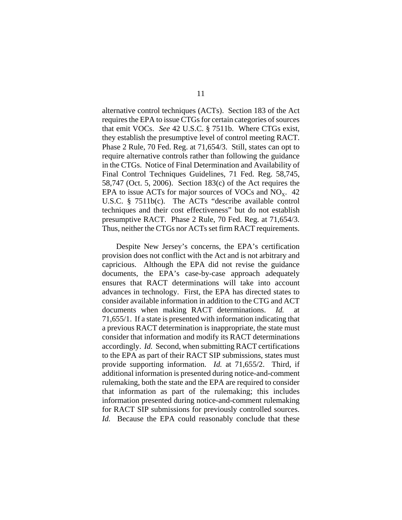alternative control techniques (ACTs). Section 183 of the Act requires the EPA to issue CTGs for certain categories of sources that emit VOCs. *See* 42 U.S.C. § 7511b. Where CTGs exist, they establish the presumptive level of control meeting RACT. Phase 2 Rule, 70 Fed. Reg. at 71,654/3. Still, states can opt to require alternative controls rather than following the guidance in the CTGs. Notice of Final Determination and Availability of Final Control Techniques Guidelines, 71 Fed. Reg. 58,745, 58,747 (Oct. 5, 2006). Section 183(c) of the Act requires the EPA to issue ACTs for major sources of VOCs and  $NO<sub>x</sub>$ . 42 U.S.C. § 7511b(c). The ACTs "describe available control techniques and their cost effectiveness" but do not establish presumptive RACT. Phase 2 Rule, 70 Fed. Reg. at 71,654/3. Thus, neither the CTGs nor ACTs set firm RACT requirements.

Despite New Jersey's concerns, the EPA's certification provision does not conflict with the Act and is not arbitrary and capricious. Although the EPA did not revise the guidance documents, the EPA's case-by-case approach adequately ensures that RACT determinations will take into account advances in technology. First, the EPA has directed states to consider available information in addition to the CTG and ACT documents when making RACT determinations. *Id.* 71,655/1. If a state is presented with information indicating that a previous RACT determination is inappropriate, the state must consider that information and modify its RACT determinations accordingly. *Id.* Second, when submitting RACT certifications to the EPA as part of their RACT SIP submissions, states must provide supporting information. *Id.* at 71,655/2. Third, if additional information is presented during notice-and-comment rulemaking, both the state and the EPA are required to consider that information as part of the rulemaking; this includes information presented during notice-and-comment rulemaking for RACT SIP submissions for previously controlled sources. *Id.* Because the EPA could reasonably conclude that these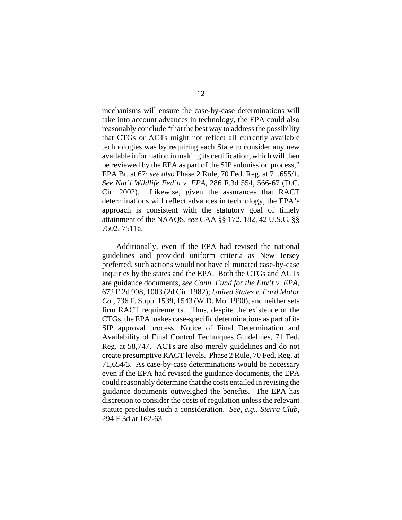mechanisms will ensure the case-by-case determinations will take into account advances in technology, the EPA could also reasonably conclude "that the best way to address the possibility that CTGs or ACTs might not reflect all currently available technologies was by requiring each State to consider any new available information in making its certification, which will then be reviewed by the EPA as part of the SIP submission process," EPA Br. at 67; *see also* Phase 2 Rule, 70 Fed. Reg. at 71,655/1. *See Nat'l Wildlife Fed'n v. EPA*, 286 F.3d 554, 566-67 (D.C. Cir. 2002). Likewise, given the assurances that RACT determinations will reflect advances in technology, the EPA's approach is consistent with the statutory goal of timely attainment of the NAAQS, *see* CAA §§ 172, 182, 42 U.S.C. §§ 7502, 7511a.

Additionally, even if the EPA had revised the national guidelines and provided uniform criteria as New Jersey preferred, such actions would not have eliminated case-by-case inquiries by the states and the EPA. Both the CTGs and ACTs are guidance documents, *see Conn. Fund for the Env't v. EPA*, 672 F.2d 998, 1003 (2d Cir. 1982); *United States v. Ford Motor Co.*, 736 F. Supp. 1539, 1543 (W.D. Mo. 1990), and neither sets firm RACT requirements. Thus, despite the existence of the CTGs, the EPA makes case-specific determinations as part of its SIP approval process. Notice of Final Determination and Availability of Final Control Techniques Guidelines, 71 Fed. Reg. at 58,747. ACTs are also merely guidelines and do not create presumptive RACT levels. Phase 2 Rule, 70 Fed. Reg. at 71,654/3. As case-by-case determinations would be necessary even if the EPA had revised the guidance documents, the EPA could reasonably determine that the costs entailed in revising the guidance documents outweighed the benefits. The EPA has discretion to consider the costs of regulation unless the relevant statute precludes such a consideration. *See, e.g.*, *Sierra Club*, 294 F.3d at 162-63.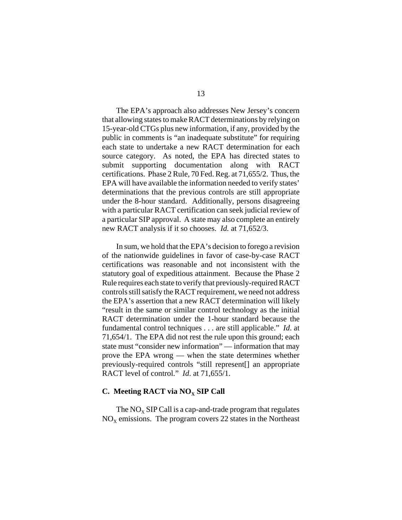The EPA's approach also addresses New Jersey's concern that allowing states to make RACT determinations by relying on 15-year-old CTGs plus new information, if any, provided by the public in comments is "an inadequate substitute" for requiring each state to undertake a new RACT determination for each source category. As noted, the EPA has directed states to submit supporting documentation along with RACT certifications. Phase 2 Rule, 70 Fed. Reg. at 71,655/2. Thus, the EPA will have available the information needed to verify states' determinations that the previous controls are still appropriate under the 8-hour standard. Additionally, persons disagreeing with a particular RACT certification can seek judicial review of a particular SIP approval. A state may also complete an entirely new RACT analysis if it so chooses. *Id.* at 71,652/3.

In sum, we hold that the EPA's decision to forego a revision of the nationwide guidelines in favor of case-by-case RACT certifications was reasonable and not inconsistent with the statutory goal of expeditious attainment. Because the Phase 2 Rule requires each state to verify that previously-required RACT controls still satisfy the RACT requirement, we need not address the EPA's assertion that a new RACT determination will likely "result in the same or similar control technology as the initial RACT determination under the 1-hour standard because the fundamental control techniques . . . are still applicable." *Id*. at 71,654/1. The EPA did not rest the rule upon this ground; each state must "consider new information" — information that may prove the EPA wrong — when the state determines whether previously-required controls "still represent[] an appropriate RACT level of control." *Id*. at 71,655/1.

## **C.** Meeting RACT via NO<sub>x</sub> SIP Call

The  $NO<sub>x</sub>$  SIP Call is a cap-and-trade program that regulates  $NO<sub>x</sub>$  emissions. The program covers 22 states in the Northeast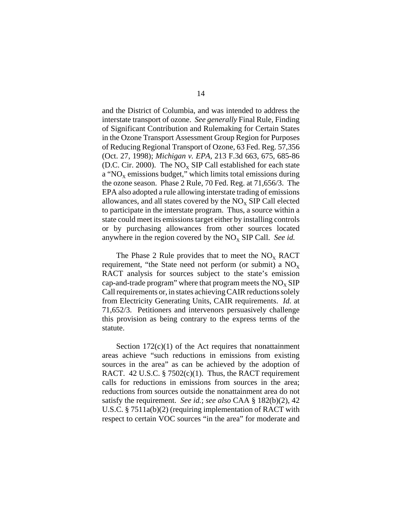and the District of Columbia, and was intended to address the interstate transport of ozone. *See generally* Final Rule, Finding of Significant Contribution and Rulemaking for Certain States in the Ozone Transport Assessment Group Region for Purposes of Reducing Regional Transport of Ozone, 63 Fed. Reg. 57,356 (Oct. 27, 1998); *Michigan v. EPA*, 213 F.3d 663, 675, 685-86 (D.C. Cir. 2000). The  $NO<sub>x</sub>$  SIP Call established for each state a "NO<sub>X</sub> emissions budget," which limits total emissions during the ozone season. Phase 2 Rule, 70 Fed. Reg. at 71,656/3. The EPA also adopted a rule allowing interstate trading of emissions allowances, and all states covered by the  $NO<sub>x</sub>$  SIP Call elected to participate in the interstate program. Thus, a source within a state could meet its emissions target either by installing controls or by purchasing allowances from other sources located anywhere in the region covered by the  $NO<sub>x</sub>$  SIP Call. *See id.* 

The Phase 2 Rule provides that to meet the  $NO<sub>x</sub>$  RACT requirement, "the State need not perform (or submit) a  $NO<sub>x</sub>$ RACT analysis for sources subject to the state's emission cap-and-trade program" where that program meets the  $NO<sub>x</sub>$  SIP Call requirements or, in states achieving CAIR reductions solely from Electricity Generating Units, CAIR requirements. *Id.* at 71,652/3. Petitioners and intervenors persuasively challenge this provision as being contrary to the express terms of the statute.

Section  $172(c)(1)$  of the Act requires that nonattainment areas achieve "such reductions in emissions from existing sources in the area" as can be achieved by the adoption of RACT. 42 U.S.C. §  $7502(c)(1)$ . Thus, the RACT requirement calls for reductions in emissions from sources in the area; reductions from sources outside the nonattainment area do not satisfy the requirement. *See id.*; *see also* CAA § 182(b)(2), 42 U.S.C. § 7511a(b)(2) (requiring implementation of RACT with respect to certain VOC sources "in the area" for moderate and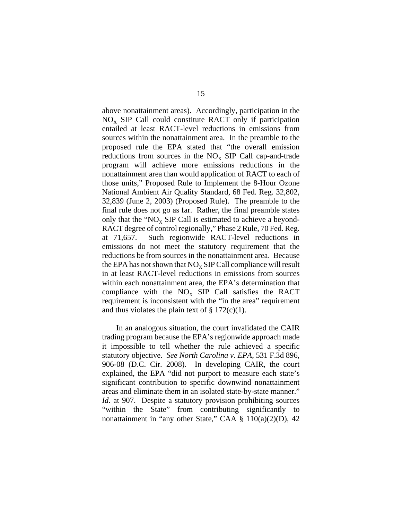above nonattainment areas). Accordingly, participation in the  $NO<sub>x</sub>$  SIP Call could constitute RACT only if participation entailed at least RACT-level reductions in emissions from sources within the nonattainment area. In the preamble to the proposed rule the EPA stated that "the overall emission reductions from sources in the  $NO<sub>x</sub>$  SIP Call cap-and-trade program will achieve more emissions reductions in the nonattainment area than would application of RACT to each of those units," Proposed Rule to Implement the 8-Hour Ozone National Ambient Air Quality Standard, 68 Fed. Reg. 32,802, 32,839 (June 2, 2003) (Proposed Rule). The preamble to the final rule does not go as far. Rather, the final preamble states only that the " $NO<sub>x</sub>$  SIP Call is estimated to achieve a beyond-RACT degree of control regionally," Phase 2 Rule, 70 Fed. Reg. at 71,657. Such regionwide RACT-level reductions in emissions do not meet the statutory requirement that the reductions be from sources in the nonattainment area. Because the EPA has not shown that  $NO<sub>x</sub>$  SIP Call compliance will result in at least RACT-level reductions in emissions from sources within each nonattainment area, the EPA's determination that compliance with the  $NO<sub>x</sub>$  SIP Call satisfies the RACT requirement is inconsistent with the "in the area" requirement and thus violates the plain text of  $\S 172(c)(1)$ .

In an analogous situation, the court invalidated the CAIR trading program because the EPA's regionwide approach made it impossible to tell whether the rule achieved a specific statutory objective. *See North Carolina v. EPA*, 531 F.3d 896, 906-08 (D.C. Cir. 2008). In developing CAIR, the court explained, the EPA "did not purport to measure each state's significant contribution to specific downwind nonattainment areas and eliminate them in an isolated state-by-state manner." *Id.* at 907. Despite a statutory provision prohibiting sources "within the State" from contributing significantly to nonattainment in "any other State," CAA § 110(a)(2)(D), 42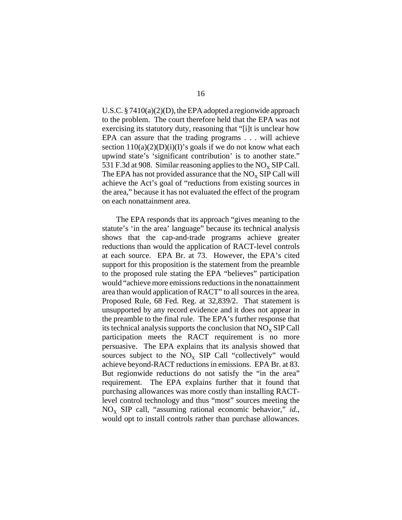U.S.C. § 7410(a)(2)(D), the EPA adopted a regionwide approach to the problem. The court therefore held that the EPA was not exercising its statutory duty, reasoning that "[i]t is unclear how EPA can assure that the trading programs . . . will achieve section  $110(a)(2)(D)(i)(I)$ 's goals if we do not know what each upwind state's 'significant contribution' is to another state." 531 F.3d at 908. Similar reasoning applies to the  $NO<sub>x</sub>$  SIP Call. The EPA has not provided assurance that the  $NO<sub>x</sub>$  SIP Call will achieve the Act's goal of "reductions from existing sources in the area," because it has not evaluated the effect of the program on each nonattainment area.

The EPA responds that its approach "gives meaning to the statute's 'in the area' language" because its technical analysis shows that the cap-and-trade programs achieve greater reductions than would the application of RACT-level controls at each source. EPA Br. at 73. However, the EPA's cited support for this proposition is the statement from the preamble to the proposed rule stating the EPA "believes" participation would "achieve more emissions reductions in the nonattainment area than would application of RACT" to all sources in the area. Proposed Rule, 68 Fed. Reg. at 32,839/2. That statement is unsupported by any record evidence and it does not appear in the preamble to the final rule. The EPA's further response that its technical analysis supports the conclusion that  $NO<sub>x</sub>$  SIP Call participation meets the RACT requirement is no more persuasive. The EPA explains that its analysis showed that sources subject to the  $NO<sub>x</sub>$  SIP Call "collectively" would achieve beyond-RACT reductions in emissions. EPA Br. at 83. But regionwide reductions do not satisfy the "in the area" requirement. The EPA explains further that it found that purchasing allowances was more costly than installing RACTlevel control technology and thus "most" sources meeting the  $NO<sub>x</sub>$  SIP call, "assuming rational economic behavior," *id.*, would opt to install controls rather than purchase allowances.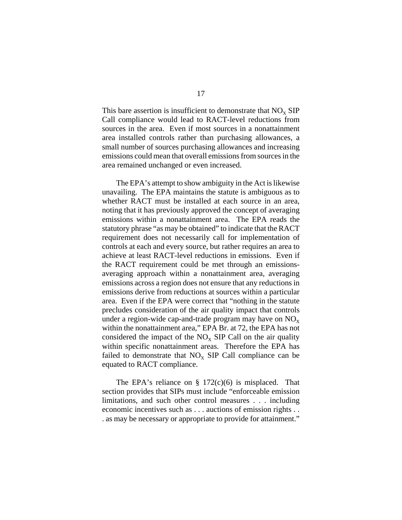This bare assertion is insufficient to demonstrate that  $NO<sub>x</sub>$  SIP Call compliance would lead to RACT-level reductions from sources in the area. Even if most sources in a nonattainment area installed controls rather than purchasing allowances, a small number of sources purchasing allowances and increasing emissions could mean that overall emissions from sources in the area remained unchanged or even increased.

The EPA's attempt to show ambiguity in the Act is likewise unavailing. The EPA maintains the statute is ambiguous as to whether RACT must be installed at each source in an area, noting that it has previously approved the concept of averaging emissions within a nonattainment area. The EPA reads the statutory phrase "as may be obtained" to indicate that the RACT requirement does not necessarily call for implementation of controls at each and every source, but rather requires an area to achieve at least RACT-level reductions in emissions. Even if the RACT requirement could be met through an emissionsaveraging approach within a nonattainment area, averaging emissions across a region does not ensure that any reductions in emissions derive from reductions at sources within a particular area. Even if the EPA were correct that "nothing in the statute precludes consideration of the air quality impact that controls under a region-wide cap-and-trade program may have on  $NO_x$ within the nonattainment area," EPA Br. at 72, the EPA has not considered the impact of the  $NO<sub>x</sub>$  SIP Call on the air quality within specific nonattainment areas. Therefore the EPA has failed to demonstrate that  $NO<sub>x</sub>$  SIP Call compliance can be equated to RACT compliance.

The EPA's reliance on  $\S$  172(c)(6) is misplaced. That section provides that SIPs must include "enforceable emission limitations, and such other control measures . . . including economic incentives such as . . . auctions of emission rights . . . as may be necessary or appropriate to provide for attainment."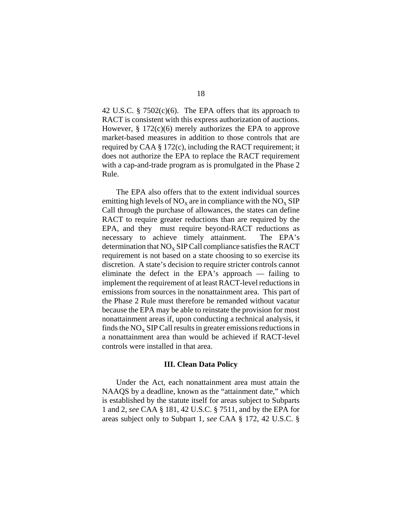42 U.S.C.  $\S$  7502(c)(6). The EPA offers that its approach to RACT is consistent with this express authorization of auctions. However,  $\S 172(c)(6)$  merely authorizes the EPA to approve market-based measures in addition to those controls that are required by CAA § 172(c), including the RACT requirement; it does not authorize the EPA to replace the RACT requirement with a cap-and-trade program as is promulgated in the Phase 2 Rule.

The EPA also offers that to the extent individual sources emitting high levels of  $NO_x$  are in compliance with the  $NO_x$  SIP Call through the purchase of allowances, the states can define RACT to require greater reductions than are required by the EPA, and they must require beyond-RACT reductions as necessary to achieve timely attainment. The EPA's determination that  $NO<sub>x</sub>$  SIP Call compliance satisfies the RACT requirement is not based on a state choosing to so exercise its discretion. A state's decision to require stricter controls cannot eliminate the defect in the EPA's approach — failing to implement the requirement of at least RACT-level reductions in emissions from sources in the nonattainment area. This part of the Phase 2 Rule must therefore be remanded without vacatur because the EPA may be able to reinstate the provision for most nonattainment areas if, upon conducting a technical analysis, it finds the  $NO<sub>x</sub>$  SIP Call results in greater emissions reductions in a nonattainment area than would be achieved if RACT-level controls were installed in that area.

## **III. Clean Data Policy**

Under the Act, each nonattainment area must attain the NAAQS by a deadline, known as the "attainment date," which is established by the statute itself for areas subject to Subparts 1 and 2, *see* CAA § 181, 42 U.S.C. § 7511, and by the EPA for areas subject only to Subpart 1, *see* CAA § 172, 42 U.S.C. §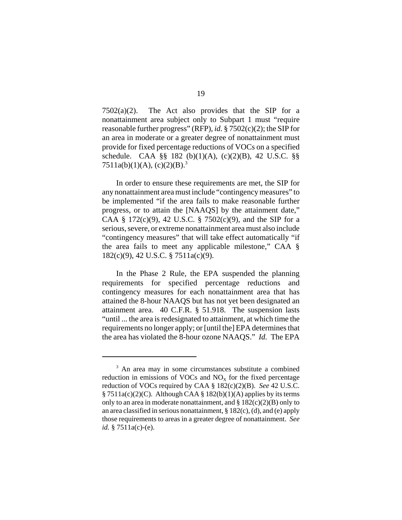$7502(a)(2)$ . The Act also provides that the SIP for a nonattainment area subject only to Subpart 1 must "require reasonable further progress" (RFP), *id.* § 7502(c)(2); the SIP for an area in moderate or a greater degree of nonattainment must provide for fixed percentage reductions of VOCs on a specified schedule. CAA §§ 182 (b)(1)(A), (c)(2)(B), 42 U.S.C. §§  $7511a(b)(1)(A), (c)(2)(B).$ <sup>3</sup>

In order to ensure these requirements are met, the SIP for any nonattainment area must include "contingency measures" to be implemented "if the area fails to make reasonable further progress, or to attain the [NAAQS] by the attainment date," CAA § 172(c)(9), 42 U.S.C. § 7502(c)(9), and the SIP for a serious, severe, or extreme nonattainment area must also include "contingency measures" that will take effect automatically "if the area fails to meet any applicable milestone," CAA § 182(c)(9), 42 U.S.C. § 7511a(c)(9).

In the Phase 2 Rule, the EPA suspended the planning requirements for specified percentage reductions and contingency measures for each nonattainment area that has attained the 8-hour NAAQS but has not yet been designated an attainment area. 40 C.F.R. § 51.918. The suspension lasts "until ... the area is redesignated to attainment, at which time the requirements no longer apply; or [until the] EPA determines that the area has violated the 8-hour ozone NAAQS." *Id.* The EPA

<sup>&</sup>lt;sup>3</sup> An area may in some circumstances substitute a combined reduction in emissions of VOCs and  $NO<sub>x</sub>$  for the fixed percentage reduction of VOCs required by CAA § 182(c)(2)(B). *See* 42 U.S.C.  $§ 7511a(c)(2)(C)$ . Although CAA § 182(b)(1)(A) applies by its terms only to an area in moderate nonattainment, and  $\S 182(c)(2)(B)$  only to an area classified in serious nonattainment,  $\S 182(c)$ , (d), and (e) apply those requirements to areas in a greater degree of nonattainment. *See id.* § 7511a(c)-(e).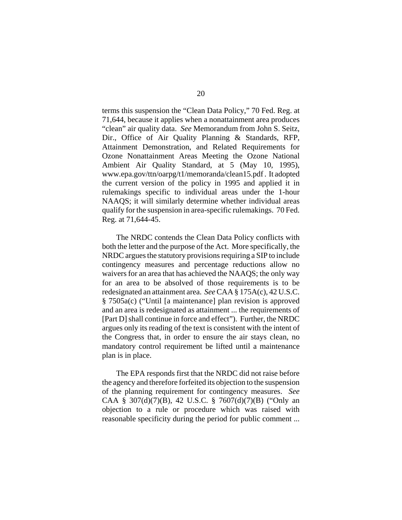terms this suspension the "Clean Data Policy," 70 Fed. Reg. at 71,644, because it applies when a nonattainment area produces "clean" air quality data. *See* Memorandum from John S. Seitz, Dir., Office of Air Quality Planning & Standards, RFP, Attainment Demonstration, and Related Requirements for Ozone Nonattainment Areas Meeting the Ozone National Ambient Air Quality Standard, at 5 (May 10, 1995), www.epa.gov/ttn/oarpg/t1/memoranda/clean15.pdf . It adopted the current version of the policy in 1995 and applied it in rulemakings specific to individual areas under the 1-hour NAAQS; it will similarly determine whether individual areas qualify for the suspension in area-specific rulemakings. 70 Fed. Reg. at 71,644-45.

The NRDC contends the Clean Data Policy conflicts with both the letter and the purpose of the Act. More specifically, the NRDC argues the statutory provisions requiring a SIP to include contingency measures and percentage reductions allow no waivers for an area that has achieved the NAAQS; the only way for an area to be absolved of those requirements is to be redesignated an attainment area. *See* CAA § 175A(c), 42 U.S.C. § 7505a(c) ("Until [a maintenance] plan revision is approved and an area is redesignated as attainment ... the requirements of [Part D] shall continue in force and effect"). Further, the NRDC argues only its reading of the text is consistent with the intent of the Congress that, in order to ensure the air stays clean, no mandatory control requirement be lifted until a maintenance plan is in place.

The EPA responds first that the NRDC did not raise before the agency and therefore forfeited its objection to the suspension of the planning requirement for contingency measures. *See* CAA § 307(d)(7)(B), 42 U.S.C. § 7607(d)(7)(B) ("Only an objection to a rule or procedure which was raised with reasonable specificity during the period for public comment ...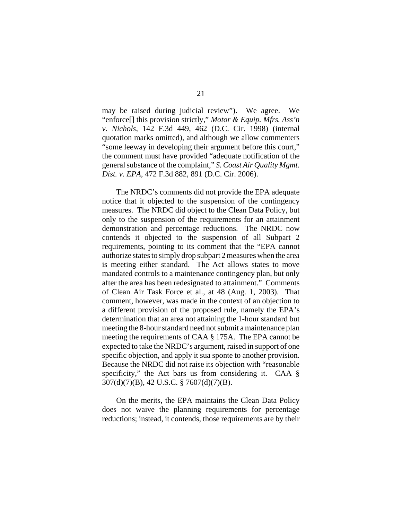may be raised during judicial review"). We agree. We "enforce[] this provision strictly," *Motor & Equip. Mfrs. Ass'n v. Nichols*, 142 F.3d 449, 462 (D.C. Cir. 1998) (internal quotation marks omitted), and although we allow commenters "some leeway in developing their argument before this court," the comment must have provided "adequate notification of the general substance of the complaint," *S. Coast Air Quality Mgmt. Dist. v. EPA*, 472 F.3d 882, 891 (D.C. Cir. 2006).

The NRDC's comments did not provide the EPA adequate notice that it objected to the suspension of the contingency measures. The NRDC did object to the Clean Data Policy, but only to the suspension of the requirements for an attainment demonstration and percentage reductions. The NRDC now contends it objected to the suspension of all Subpart 2 requirements, pointing to its comment that the "EPA cannot authorize states to simply drop subpart 2 measures when the area is meeting either standard. The Act allows states to move mandated controls to a maintenance contingency plan, but only after the area has been redesignated to attainment." Comments of Clean Air Task Force et al., at 48 (Aug. 1, 2003). That comment, however, was made in the context of an objection to a different provision of the proposed rule, namely the EPA's determination that an area not attaining the 1-hour standard but meeting the 8-hour standard need not submit a maintenance plan meeting the requirements of CAA § 175A. The EPA cannot be expected to take the NRDC's argument, raised in support of one specific objection, and apply it sua sponte to another provision. Because the NRDC did not raise its objection with "reasonable specificity," the Act bars us from considering it. CAA § 307(d)(7)(B), 42 U.S.C. § 7607(d)(7)(B).

On the merits, the EPA maintains the Clean Data Policy does not waive the planning requirements for percentage reductions; instead, it contends, those requirements are by their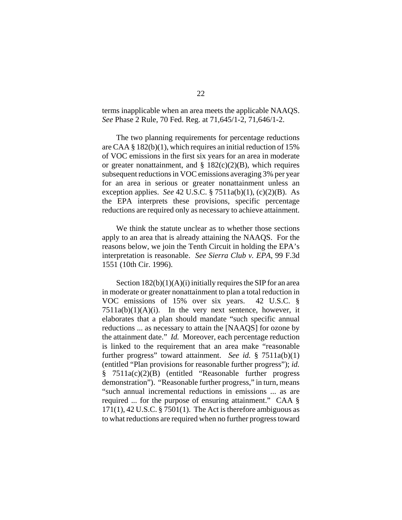terms inapplicable when an area meets the applicable NAAQS. *See* Phase 2 Rule, 70 Fed. Reg. at 71,645/1-2, 71,646/1-2.

The two planning requirements for percentage reductions are CAA § 182(b)(1), which requires an initial reduction of 15% of VOC emissions in the first six years for an area in moderate or greater nonattainment, and  $\S$  182(c)(2)(B), which requires subsequent reductions in VOC emissions averaging 3% per year for an area in serious or greater nonattainment unless an exception applies. *See* 42 U.S.C. § 7511a(b)(1), (c)(2)(B). As the EPA interprets these provisions, specific percentage reductions are required only as necessary to achieve attainment.

We think the statute unclear as to whether those sections apply to an area that is already attaining the NAAQS. For the reasons below, we join the Tenth Circuit in holding the EPA's interpretation is reasonable. *See Sierra Club v. EPA*, 99 F.3d 1551 (10th Cir. 1996).

Section  $182(b)(1)(A)(i)$  initially requires the SIP for an area in moderate or greater nonattainment to plan a total reduction in VOC emissions of 15% over six years. 42 U.S.C. §  $7511a(b)(1)(A)(i)$ . In the very next sentence, however, it elaborates that a plan should mandate "such specific annual reductions ... as necessary to attain the [NAAQS] for ozone by the attainment date." *Id.* Moreover, each percentage reduction is linked to the requirement that an area make "reasonable further progress" toward attainment. *See id.* § 7511a(b)(1) (entitled "Plan provisions for reasonable further progress"); *id.* § 7511a(c)(2)(B) (entitled "Reasonable further progress demonstration"). "Reasonable further progress," in turn, means "such annual incremental reductions in emissions ... as are required ... for the purpose of ensuring attainment." CAA §  $171(1)$ ,  $42$  U.S.C. § 7501(1). The Act is therefore ambiguous as to what reductions are required when no further progress toward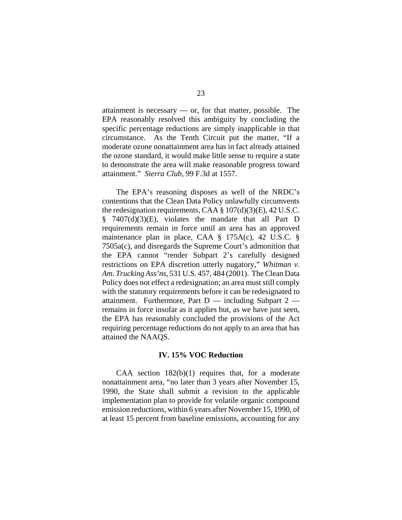attainment is necessary — or, for that matter, possible. The EPA reasonably resolved this ambiguity by concluding the specific percentage reductions are simply inapplicable in that circumstance. As the Tenth Circuit put the matter, "If a moderate ozone nonattainment area has in fact already attained the ozone standard, it would make little sense to require a state to demonstrate the area will make reasonable progress toward attainment." *Sierra Club*, 99 F.3d at 1557.

The EPA's reasoning disposes as well of the NRDC's contentions that the Clean Data Policy unlawfully circumvents the redesignation requirements, CAA  $\S 107(d)(3)(E)$ , 42 U.S.C. § 7407(d)(3)(E), violates the mandate that all Part D requirements remain in force until an area has an approved maintenance plan in place, CAA § 175A(c), 42 U.S.C. § 7505a(c), and disregards the Supreme Court's admonition that the EPA cannot "render Subpart 2's carefully designed restrictions on EPA discretion utterly nugatory," *Whitman v. Am. Trucking Ass'ns*, 531 U.S. 457, 484 (2001). The Clean Data Policy does not effect a redesignation; an area must still comply with the statutory requirements before it can be redesignated to attainment. Furthermore, Part  $D$  — including Subpart 2 remains in force insofar as it applies but, as we have just seen, the EPA has reasonably concluded the provisions of the Act requiring percentage reductions do not apply to an area that has attained the NAAQS.

## **IV. 15% VOC Reduction**

CAA section  $182(b)(1)$  requires that, for a moderate nonattainment area, "no later than 3 years after November 15, 1990, the State shall submit a revision to the applicable implementation plan to provide for volatile organic compound emission reductions, within 6 years after November 15, 1990, of at least 15 percent from baseline emissions, accounting for any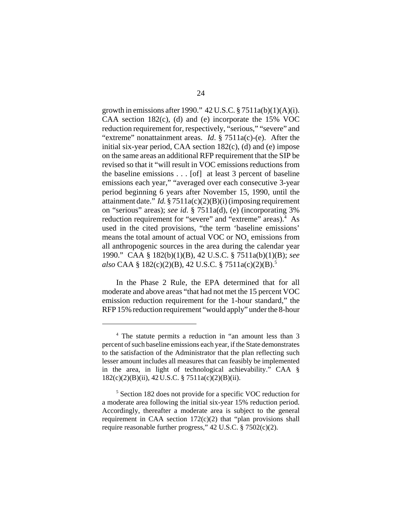growth in emissions after 1990."  $42 \text{ U.S.C.}$   $\S 7511a(b)(1)(A)(i)$ . CAA section 182(c), (d) and (e) incorporate the 15% VOC reduction requirement for, respectively, "serious," "severe" and "extreme" nonattainment areas. *Id*. § 7511a(c)-(e). After the initial six-year period, CAA section 182(c), (d) and (e) impose on the same areas an additional RFP requirement that the SIP be revised so that it "will result in VOC emissions reductions from the baseline emissions . . . [of] at least 3 percent of baseline emissions each year," "averaged over each consecutive 3-year period beginning 6 years after November 15, 1990, until the attainment date." *Id.* § 7511a(c)(2)(B)(i) (imposing requirement on "serious" areas); *see id*. § 7511a(d), (e) (incorporating 3% reduction requirement for "severe" and "extreme" areas).<sup>4</sup> As used in the cited provisions, "the term 'baseline emissions' means the total amount of actual VOC or NO<sub>y</sub> emissions from all anthropogenic sources in the area during the calendar year 1990." CAA § 182(b)(1)(B), 42 U.S.C. § 7511a(b)(1)(B); *see also* CAA § 182(c)(2)(B), 42 U.S.C. § 7511a(c)(2)(B).5

In the Phase 2 Rule, the EPA determined that for all moderate and above areas "that had not met the 15 percent VOC emission reduction requirement for the 1-hour standard," the RFP 15% reduction requirement "would apply" under the 8-hour

<sup>4</sup> The statute permits a reduction in "an amount less than 3 percent of such baseline emissions each year, if the State demonstrates to the satisfaction of the Administrator that the plan reflecting such lesser amount includes all measures that can feasibly be implemented in the area, in light of technological achievability." CAA § 182(c)(2)(B)(ii), 42U.S.C. § 7511a(c)(2)(B)(ii).

<sup>&</sup>lt;sup>5</sup> Section 182 does not provide for a specific VOC reduction for a moderate area following the initial six-year 15% reduction period. Accordingly, thereafter a moderate area is subject to the general requirement in CAA section 172(c)(2) that "plan provisions shall require reasonable further progress," 42 U.S.C. § 7502(c)(2).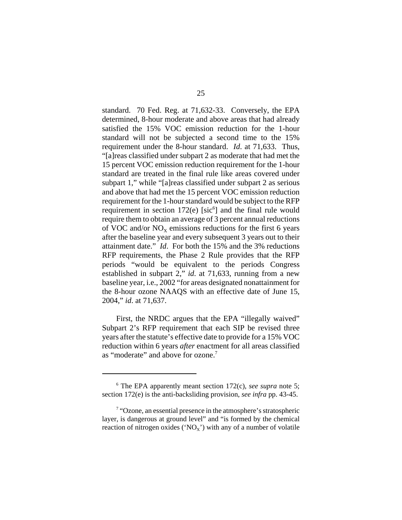standard. 70 Fed. Reg. at 71,632-33. Conversely, the EPA determined, 8-hour moderate and above areas that had already satisfied the 15% VOC emission reduction for the 1-hour standard will not be subjected a second time to the 15% requirement under the 8-hour standard. *Id*. at 71,633. Thus, "[a]reas classified under subpart 2 as moderate that had met the 15 percent VOC emission reduction requirement for the 1-hour standard are treated in the final rule like areas covered under subpart 1," while "[a]reas classified under subpart 2 as serious and above that had met the 15 percent VOC emission reduction requirement for the 1-hour standard would be subject to the RFP requirement in section  $172(e)$  [sic<sup>6</sup>] and the final rule would require them to obtain an average of 3 percent annual reductions of VOC and/or  $NO_x$  emissions reductions for the first 6 years after the baseline year and every subsequent 3 years out to their attainment date." *Id*. For both the 15% and the 3% reductions RFP requirements, the Phase 2 Rule provides that the RFP periods "would be equivalent to the periods Congress established in subpart 2," *id*. at 71,633, running from a new baseline year, i.e., 2002 "for areas designated nonattainment for the 8-hour ozone NAAQS with an effective date of June 15, 2004," *id*. at 71,637.

First, the NRDC argues that the EPA "illegally waived" Subpart 2's RFP requirement that each SIP be revised three years after the statute's effective date to provide for a 15% VOC reduction within 6 years *after* enactment for all areas classified as "moderate" and above for ozone.<sup>7</sup>

<sup>6</sup> The EPA apparently meant section 172(c), *see supra* note 5; section 172(e) is the anti-backsliding provision, *see infra* pp. 43-45.

<sup>&</sup>lt;sup>7</sup> "Ozone, an essential presence in the atmosphere's stratospheric layer, is dangerous at ground level" and "is formed by the chemical reaction of nitrogen oxides ('NO<sub>X</sub>') with any of a number of volatile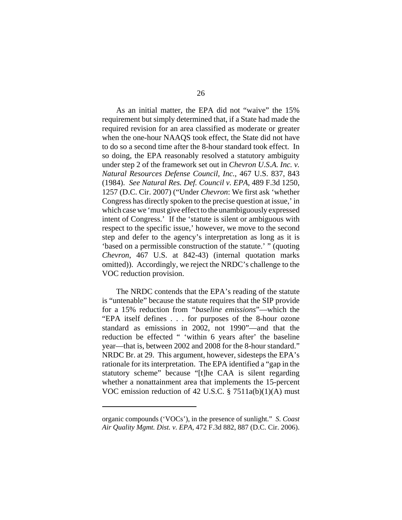As an initial matter, the EPA did not "waive" the 15% requirement but simply determined that, if a State had made the required revision for an area classified as moderate or greater when the one-hour NAAQS took effect, the State did not have to do so a second time after the 8-hour standard took effect. In so doing, the EPA reasonably resolved a statutory ambiguity under step 2 of the framework set out in *Chevron U.S.A. Inc. v. Natural Resources Defense Council, Inc.*, 467 U.S. 837, 843 (1984). *See Natural Res. Def. Council v. EPA*, 489 F.3d 1250, 1257 (D.C. Cir. 2007) ("Under *Chevron*: We first ask 'whether Congress has directly spoken to the precise question at issue,' in which case we 'must give effect to the unambiguously expressed intent of Congress.' If the 'statute is silent or ambiguous with respect to the specific issue,' however, we move to the second step and defer to the agency's interpretation as long as it is 'based on a permissible construction of the statute.' " (quoting *Chevron*, 467 U.S. at 842-43) (internal quotation marks omitted)). Accordingly, we reject the NRDC's challenge to the VOC reduction provision.

The NRDC contends that the EPA's reading of the statute is "untenable" because the statute requires that the SIP provide for a 15% reduction from *"baseline emissions*"—which the "EPA itself defines . . . for purposes of the 8-hour ozone standard as emissions in 2002, not 1990"—and that the reduction be effected " 'within 6 years after' the baseline year—that is, between 2002 and 2008 for the 8-hour standard." NRDC Br. at 29. This argument, however, sidesteps the EPA's rationale for its interpretation. The EPA identified a "gap in the statutory scheme" because "[t]he CAA is silent regarding whether a nonattainment area that implements the 15-percent VOC emission reduction of 42 U.S.C. § 7511a(b)(1)(A) must

organic compounds ('VOCs'), in the presence of sunlight." *S. Coast Air Quality Mgmt. Dist. v. EPA*, 472 F.3d 882, 887 (D.C. Cir. 2006).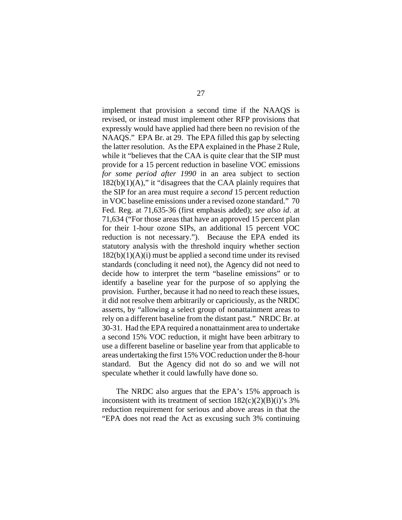implement that provision a second time if the NAAQS is revised, or instead must implement other RFP provisions that expressly would have applied had there been no revision of the NAAQS." EPA Br. at 29. The EPA filled this gap by selecting the latter resolution. As the EPA explained in the Phase 2 Rule, while it "believes that the CAA is quite clear that the SIP must provide for a 15 percent reduction in baseline VOC emissions *for some period after 1990* in an area subject to section  $182(b)(1)(A)$ ," it "disagrees that the CAA plainly requires that the SIP for an area must require a *second* 15 percent reduction in VOC baseline emissions under a revised ozone standard." 70 Fed. Reg. at 71,635-36 (first emphasis added); *see also id*. at 71,634 ("For those areas that have an approved 15 percent plan for their 1-hour ozone SIPs, an additional 15 percent VOC reduction is not necessary."). Because the EPA ended its statutory analysis with the threshold inquiry whether section  $182(b)(1)(A)(i)$  must be applied a second time under its revised standards (concluding it need not), the Agency did not need to decide how to interpret the term "baseline emissions" or to identify a baseline year for the purpose of so applying the provision. Further, because it had no need to reach these issues, it did not resolve them arbitrarily or capriciously, as the NRDC asserts, by "allowing a select group of nonattainment areas to rely on a different baseline from the distant past." NRDC Br. at 30-31. Had the EPA required a nonattainment area to undertake a second 15% VOC reduction, it might have been arbitrary to use a different baseline or baseline year from that applicable to areas undertaking the first 15% VOC reduction under the 8-hour standard. But the Agency did not do so and we will not speculate whether it could lawfully have done so.

The NRDC also argues that the EPA's 15% approach is inconsistent with its treatment of section  $182(c)(2)(B)(i)$ 's 3% reduction requirement for serious and above areas in that the "EPA does not read the Act as excusing such 3% continuing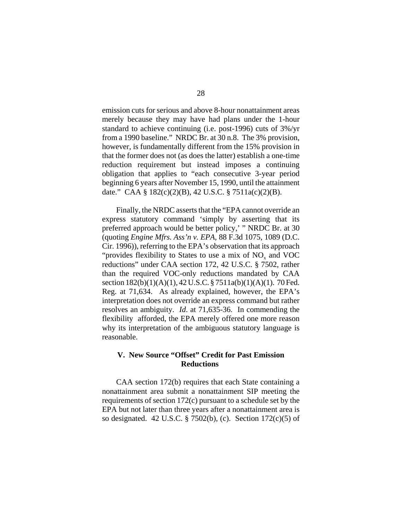emission cuts for serious and above 8-hour nonattainment areas merely because they may have had plans under the 1-hour standard to achieve continuing (i.e. post-1996) cuts of 3%/yr from a 1990 baseline." NRDC Br. at 30 n.8. The 3% provision, however, is fundamentally different from the 15% provision in that the former does not (as does the latter) establish a one-time reduction requirement but instead imposes a continuing obligation that applies to "each consecutive 3-year period beginning 6 years after November 15, 1990, until the attainment date." CAA § 182(c)(2)(B), 42 U.S.C. § 7511a(c)(2)(B).

Finally, the NRDC asserts that the "EPA cannot override an express statutory command 'simply by asserting that its preferred approach would be better policy,' " NRDC Br. at 30 (quoting *Engine Mfrs. Ass'n v. EPA,* 88 F.3d 1075, 1089 (D.C. Cir. 1996)), referring to the EPA's observation that its approach "provides flexibility to States to use a mix of  $NO<sub>x</sub>$  and  $VOC$ reductions" under CAA section 172, 42 U.S.C. § 7502, rather than the required VOC-only reductions mandated by CAA section 182(b)(1)(A)(1), 42 U.S.C. § 7511a(b)(1)(A)(1). 70 Fed. Reg. at 71,634. As already explained, however, the EPA's interpretation does not override an express command but rather resolves an ambiguity. *Id*. at 71,635-36. In commending the flexibility afforded, the EPA merely offered one more reason why its interpretation of the ambiguous statutory language is reasonable.

# **V. New Source "Offset" Credit for Past Emission Reductions**

CAA section 172(b) requires that each State containing a nonattainment area submit a nonattainment SIP meeting the requirements of section 172(c) pursuant to a schedule set by the EPA but not later than three years after a nonattainment area is so designated. 42 U.S.C. § 7502(b), (c). Section 172(c)(5) of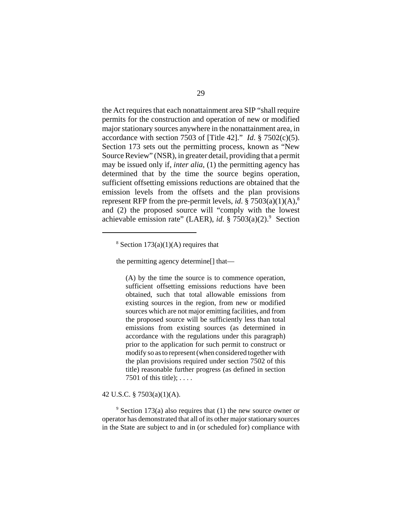the Act requires that each nonattainment area SIP "shall require permits for the construction and operation of new or modified major stationary sources anywhere in the nonattainment area, in accordance with section 7503 of [Title 42]." *Id*. § 7502(c)(5). Section 173 sets out the permitting process, known as "New Source Review" (NSR), in greater detail, providing that a permit may be issued only if, *inter alia*, (1) the permitting agency has determined that by the time the source begins operation, sufficient offsetting emissions reductions are obtained that the emission levels from the offsets and the plan provisions represent RFP from the pre-permit levels, *id*. §  $7503(a)(1)(A)$ <sup>8</sup> and (2) the proposed source will "comply with the lowest achievable emission rate" (LAER), *id*. § 7503(a)(2).<sup>9</sup> Section

the permitting agency determine[] that—

(A) by the time the source is to commence operation, sufficient offsetting emissions reductions have been obtained, such that total allowable emissions from existing sources in the region, from new or modified sources which are not major emitting facilities, and from the proposed source will be sufficiently less than total emissions from existing sources (as determined in accordance with the regulations under this paragraph) prior to the application for such permit to construct or modify so as to represent (when considered together with the plan provisions required under section 7502 of this title) reasonable further progress (as defined in section 7501 of this title);  $\dots$ .

## 42 U.S.C. § 7503(a)(1)(A).

 $9$  Section 173(a) also requires that (1) the new source owner or operator has demonstrated that all of its other major stationary sources in the State are subject to and in (or scheduled for) compliance with

 $8$  Section 173(a)(1)(A) requires that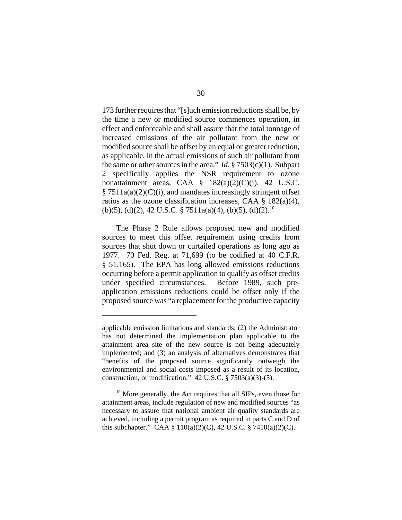173 further requires that "[s]uch emission reductions shall be, by the time a new or modified source commences operation, in effect and enforceable and shall assure that the total tonnage of increased emissions of the air pollutant from the new or modified source shall be offset by an equal or greater reduction, as applicable, in the actual emissions of such air pollutant from the same or other sources in the area." *Id*. § 7503(c)(1). Subpart 2 specifically applies the NSR requirement to ozone nonattainment areas, CAA  $\S$  182(a)(2)(C)(i), 42 U.S.C.  $§ 7511a(a)(2)(C)(i)$ , and mandates increasingly stringent offset ratios as the ozone classification increases, CAA § 182(a)(4), (b)(5), (d)(2), 42 U.S.C. § 7511a(a)(4), (b)(5), (d)(2).<sup>10</sup>

The Phase 2 Rule allows proposed new and modified sources to meet this offset requirement using credits from sources that shut down or curtailed operations as long ago as 1977. 70 Fed. Reg. at 71,699 (to be codified at 40 C.F.R. § 51.165). The EPA has long allowed emissions reductions occurring before a permit application to qualify as offset credits under specified circumstances. Before 1989, such preapplication emissions reductions could be offset only if the proposed source was "a replacement for the productive capacity

applicable emission limitations and standards; (2) the Administrator has not determined the implementation plan applicable to the attainment area site of the new source is not being adequately implemented; and (3) an analysis of alternatives demonstrates that "benefits of the proposed source significantly outweigh the environmental and social costs imposed as a result of its location, construction, or modification."  $42$  U.S.C. §  $7503(a)(3)-(5)$ .

<sup>&</sup>lt;sup>10</sup> More generally, the Act requires that all SIPs, even those for attainment areas, include regulation of new and modified sources "as necessary to assure that national ambient air quality standards are achieved, including a permit program as required in parts C and D of this subchapter." CAA § 110(a)(2)(C), 42 U.S.C. § 7410(a)(2)(C).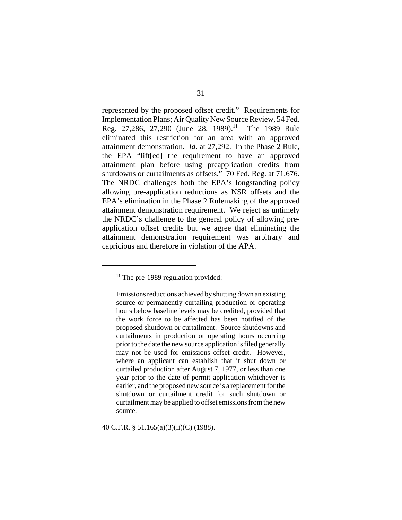represented by the proposed offset credit." Requirements for Implementation Plans; Air Quality New Source Review, 54 Fed. Reg. 27,286, 27,290 (June 28, 1989).<sup>11</sup> The 1989 Rule eliminated this restriction for an area with an approved attainment demonstration. *Id*. at 27,292. In the Phase 2 Rule, the EPA "lift[ed] the requirement to have an approved attainment plan before using preapplication credits from shutdowns or curtailments as offsets." 70 Fed. Reg. at 71,676. The NRDC challenges both the EPA's longstanding policy allowing pre-application reductions as NSR offsets and the EPA's elimination in the Phase 2 Rulemaking of the approved attainment demonstration requirement. We reject as untimely the NRDC's challenge to the general policy of allowing preapplication offset credits but we agree that eliminating the attainment demonstration requirement was arbitrary and capricious and therefore in violation of the APA.

40 C.F.R. § 51.165(a)(3)(ii)(C) (1988).

 $11$  The pre-1989 regulation provided:

Emissions reductions achieved by shutting down an existing source or permanently curtailing production or operating hours below baseline levels may be credited, provided that the work force to be affected has been notified of the proposed shutdown or curtailment. Source shutdowns and curtailments in production or operating hours occurring prior to the date the new source application is filed generally may not be used for emissions offset credit. However, where an applicant can establish that it shut down or curtailed production after August 7, 1977, or less than one year prior to the date of permit application whichever is earlier, and the proposed new source is a replacement for the shutdown or curtailment credit for such shutdown or curtailment may be applied to offset emissions from the new source.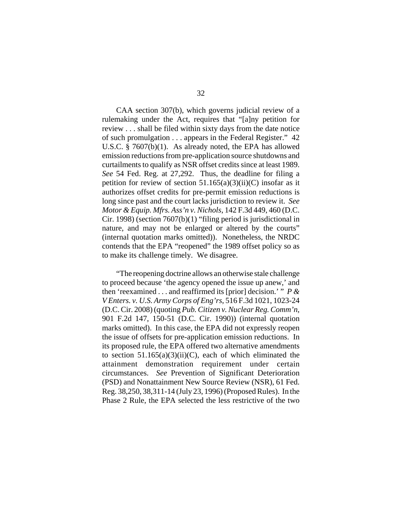CAA section 307(b), which governs judicial review of a rulemaking under the Act, requires that "[a]ny petition for review . . . shall be filed within sixty days from the date notice of such promulgation . . . appears in the Federal Register." 42 U.S.C. § 7607(b)(1). As already noted, the EPA has allowed emission reductions from pre-application source shutdowns and curtailments to qualify as NSR offset credits since at least 1989. *See* 54 Fed. Reg. at 27,292. Thus, the deadline for filing a petition for review of section  $51.165(a)(3)(ii)(C)$  insofar as it authorizes offset credits for pre-permit emission reductions is long since past and the court lacks jurisdiction to review it. *See Motor & Equip. Mfrs. Ass'n v. Nichols*, 142 F.3d 449, 460 (D.C. Cir. 1998) (section 7607(b)(1) "filing period is jurisdictional in nature, and may not be enlarged or altered by the courts" (internal quotation marks omitted)). Nonetheless, the NRDC contends that the EPA "reopened" the 1989 offset policy so as to make its challenge timely. We disagree.

"The reopening doctrine allows an otherwise stale challenge to proceed because 'the agency opened the issue up anew,' and then 'reexamined . . . and reaffirmed its [prior] decision.' " *P & V Enters. v. U.S. Army Corps of Eng'rs*, 516 F.3d 1021, 1023-24 (D.C. Cir. 2008) (quoting *Pub. Citizen v. Nuclear Reg. Comm'n*, 901 F.2d 147, 150-51 (D.C. Cir. 1990)) (internal quotation marks omitted). In this case, the EPA did not expressly reopen the issue of offsets for pre-application emission reductions. In its proposed rule, the EPA offered two alternative amendments to section  $51.165(a)(3)(ii)(C)$ , each of which eliminated the attainment demonstration requirement under certain circumstances. *See* Prevention of Significant Deterioration (PSD) and Nonattainment New Source Review (NSR), 61 Fed. Reg. 38,250, 38,311-14 (July 23, 1996) (Proposed Rules). In the Phase 2 Rule, the EPA selected the less restrictive of the two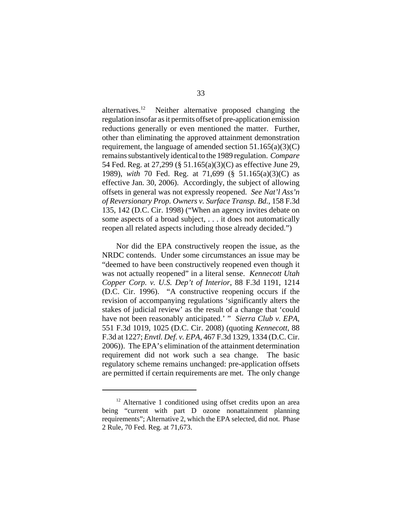alternatives.<sup>12</sup> Neither alternative proposed changing the regulation insofar as it permits offset of pre-application emission reductions generally or even mentioned the matter. Further, other than eliminating the approved attainment demonstration requirement, the language of amended section  $51.165(a)(3)(C)$ remains substantively identical to the 1989 regulation. *Compare* 54 Fed. Reg. at 27,299 (§ 51.165(a)(3)(C) as effective June 29, 1989), *with* 70 Fed. Reg. at 71,699 (§ 51.165(a)(3)(C) as effective Jan. 30, 2006). Accordingly, the subject of allowing offsets in general was not expressly reopened. *See Nat'l Ass'n of Reversionary Prop. Owners v. Surface Transp. Bd.*, 158 F.3d 135, 142 (D.C. Cir. 1998) ("When an agency invites debate on some aspects of a broad subject, . . . it does not automatically reopen all related aspects including those already decided.")

Nor did the EPA constructively reopen the issue, as the NRDC contends. Under some circumstances an issue may be "deemed to have been constructively reopened even though it was not actually reopened" in a literal sense. *Kennecott Utah Copper Corp. v. U.S. Dep't of Interior*, 88 F.3d 1191, 1214 (D.C. Cir. 1996). "A constructive reopening occurs if the revision of accompanying regulations 'significantly alters the stakes of judicial review' as the result of a change that 'could have not been reasonably anticipated.' " *Sierra Club v. EPA*, 551 F.3d 1019, 1025 (D.C. Cir. 2008) (quoting *Kennecott*, 88 F.3d at 1227; *Envtl. Def. v. EPA*, 467 F.3d 1329, 1334 (D.C. Cir. 2006)). The EPA's elimination of the attainment determination requirement did not work such a sea change. The basic regulatory scheme remains unchanged: pre-application offsets are permitted if certain requirements are met. The only change

<sup>&</sup>lt;sup>12</sup> Alternative 1 conditioned using offset credits upon an area being "current with part D ozone nonattainment planning requirements"; Alternative 2, which the EPA selected, did not. Phase 2 Rule, 70 Fed. Reg. at 71,673.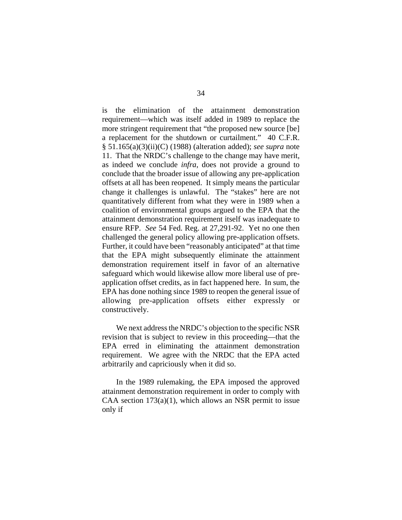is the elimination of the attainment demonstration requirement—which was itself added in 1989 to replace the more stringent requirement that "the proposed new source [be] a replacement for the shutdown or curtailment." 40 C.F.R. § 51.165(a)(3)(ii)(C) (1988) (alteration added); *see supra* note 11. That the NRDC's challenge to the change may have merit, as indeed we conclude *infra*, does not provide a ground to conclude that the broader issue of allowing any pre-application offsets at all has been reopened. It simply means the particular change it challenges is unlawful. The "stakes" here are not quantitatively different from what they were in 1989 when a coalition of environmental groups argued to the EPA that the attainment demonstration requirement itself was inadequate to ensure RFP. *See* 54 Fed. Reg. at 27,291-92. Yet no one then challenged the general policy allowing pre-application offsets. Further, it could have been "reasonably anticipated" at that time that the EPA might subsequently eliminate the attainment demonstration requirement itself in favor of an alternative safeguard which would likewise allow more liberal use of preapplication offset credits, as in fact happened here. In sum, the EPA has done nothing since 1989 to reopen the general issue of allowing pre-application offsets either expressly or constructively.

We next address the NRDC's objection to the specific NSR revision that is subject to review in this proceeding—that the EPA erred in eliminating the attainment demonstration requirement. We agree with the NRDC that the EPA acted arbitrarily and capriciously when it did so.

In the 1989 rulemaking, the EPA imposed the approved attainment demonstration requirement in order to comply with CAA section  $173(a)(1)$ , which allows an NSR permit to issue only if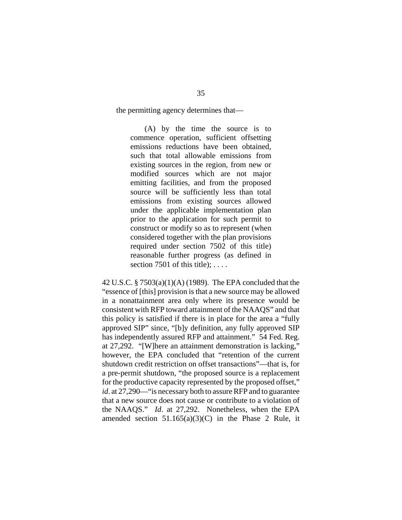the permitting agency determines that—

(A) by the time the source is to commence operation, sufficient offsetting emissions reductions have been obtained, such that total allowable emissions from existing sources in the region, from new or modified sources which are not major emitting facilities, and from the proposed source will be sufficiently less than total emissions from existing sources allowed under the applicable implementation plan prior to the application for such permit to construct or modify so as to represent (when considered together with the plan provisions required under section 7502 of this title) reasonable further progress (as defined in section 7501 of this title);  $\dots$ .

42 U.S.C. § 7503(a)(1)(A) (1989). The EPA concluded that the "essence of [this] provision is that a new source may be allowed in a nonattainment area only where its presence would be consistent with RFP toward attainment of the NAAQS" and that this policy is satisfied if there is in place for the area a "fully approved SIP" since, "[b]y definition, any fully approved SIP has independently assured RFP and attainment." 54 Fed. Reg. at 27,292. "[W]here an attainment demonstration is lacking," however, the EPA concluded that "retention of the current shutdown credit restriction on offset transactions"—that is, for a pre-permit shutdown, "the proposed source is a replacement for the productive capacity represented by the proposed offset," *id*. at 27,290—"is necessary both to assure RFP and to guarantee that a new source does not cause or contribute to a violation of the NAAQS." *Id*. at 27,292. Nonetheless, when the EPA amended section  $51.165(a)(3)(C)$  in the Phase 2 Rule, it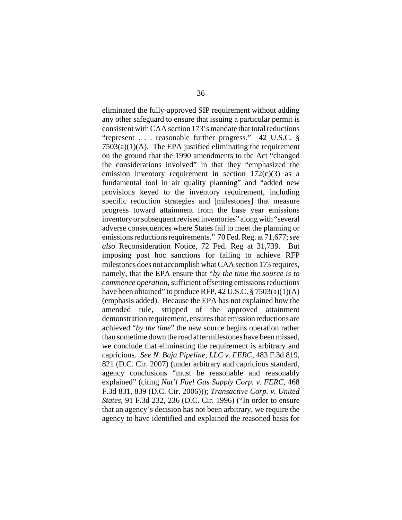eliminated the fully-approved SIP requirement without adding any other safeguard to ensure that issuing a particular permit is consistent with CAA section 173's mandate that total reductions "represent . . . reasonable further progress." 42 U.S.C. §  $7503(a)(1)(A)$ . The EPA justified eliminating the requirement on the ground that the 1990 amendments to the Act "changed the considerations involved" in that they "emphasized the emission inventory requirement in section  $172(c)(3)$  as a fundamental tool in air quality planning" and "added new provisions keyed to the inventory requirement, including specific reduction strategies and [milestones] that measure progress toward attainment from the base year emissions inventory or subsequent revised inventories" along with "several adverse consequences where States fail to meet the planning or emissions reductions requirements." 70 Fed. Reg. at 71,677; *see also* Reconsideration Notice, 72 Fed. Reg at 31,739. But imposing post hoc sanctions for failing to achieve RFP milestones does not accomplish what CAA section 173 requires, namely, that the EPA ensure that "*by the time the source is to commence operation*, sufficient offsetting emissions reductions have been obtained" to produce RFP, 42 U.S.C. § 7503(a)(1)(A) (emphasis added). Because the EPA has not explained how the amended rule, stripped of the approved attainment demonstration requirement, ensures that emission reductions are achieved "*by the time*" the new source begins operation rather than sometime down the road after milestones have been missed, we conclude that eliminating the requirement is arbitrary and capricious. *See N. Baja Pipeline, LLC v. FERC*, 483 F.3d 819, 821 (D.C. Cir. 2007) (under arbitrary and capricious standard, agency conclusions "must be reasonable and reasonably explained" (citing *Nat'l Fuel Gas Supply Corp. v. FERC*, 468 F.3d 831, 839 (D.C. Cir. 2006))); *Transactive Corp. v. United States*, 91 F.3d 232, 236 (D.C. Cir. 1996) ("In order to ensure that an agency's decision has not been arbitrary, we require the agency to have identified and explained the reasoned basis for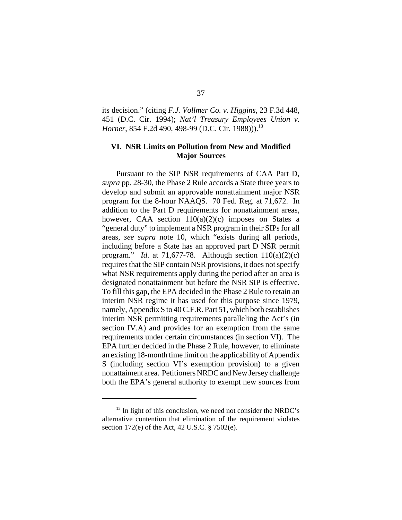its decision." (citing *F.J. Vollmer Co. v. Higgins*, 23 F.3d 448, 451 (D.C. Cir. 1994); *Nat'l Treasury Employees Union v. Horner*, 854 F.2d 490, 498-99 (D.C. Cir. 1988)).<sup>13</sup>

## **VI. NSR Limits on Pollution from New and Modified Major Sources**

Pursuant to the SIP NSR requirements of CAA Part D, *supra* pp. 28-30, the Phase 2 Rule accords a State three years to develop and submit an approvable nonattainment major NSR program for the 8-hour NAAQS. 70 Fed. Reg. at 71,672. In addition to the Part D requirements for nonattainment areas, however, CAA section  $110(a)(2)(c)$  imposes on States a "general duty" to implement a NSR program in their SIPs for all areas, *see supra* note 10, which "exists during all periods, including before a State has an approved part D NSR permit program." *Id*. at 71,677-78. Although section 110(a)(2)(c) requires that the SIP contain NSR provisions, it does not specify what NSR requirements apply during the period after an area is designated nonattainment but before the NSR SIP is effective. To fill this gap, the EPA decided in the Phase 2 Rule to retain an interim NSR regime it has used for this purpose since 1979, namely, Appendix S to 40 C.F.R. Part 51, which both establishes interim NSR permitting requirements paralleling the Act's (in section IV.A) and provides for an exemption from the same requirements under certain circumstances (in section VI). The EPA further decided in the Phase 2 Rule, however, to eliminate an existing 18-month time limit on the applicability of Appendix S (including section VI's exemption provision) to a given nonattaiment area. Petitioners NRDC and New Jersey challenge both the EPA's general authority to exempt new sources from

 $13$  In light of this conclusion, we need not consider the NRDC's alternative contention that elimination of the requirement violates section 172(e) of the Act, 42 U.S.C. § 7502(e).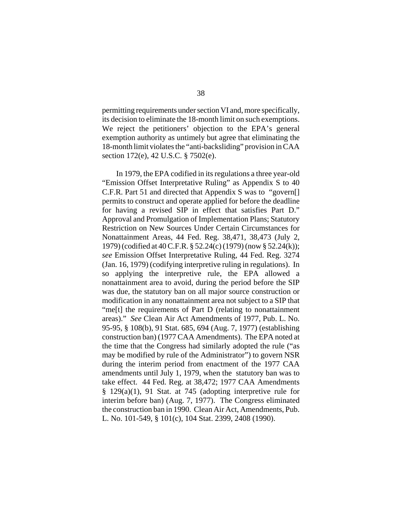permitting requirements under section VI and, more specifically, its decision to eliminate the 18-month limit on such exemptions. We reject the petitioners' objection to the EPA's general exemption authority as untimely but agree that eliminating the 18-month limit violates the "anti-backsliding" provision in CAA section 172(e), 42 U.S.C. § 7502(e).

In 1979, the EPA codified in its regulations a three year-old "Emission Offset Interpretative Ruling" as Appendix S to 40 C.F.R. Part 51 and directed that Appendix S was to "govern[] permits to construct and operate applied for before the deadline for having a revised SIP in effect that satisfies Part D." Approval and Promulgation of Implementation Plans; Statutory Restriction on New Sources Under Certain Circumstances for Nonattainment Areas, 44 Fed. Reg. 38,471, 38,473 (July 2, 1979) (codified at 40 C.F.R. § 52.24(c) (1979) (now § 52.24(k)); *see* Emission Offset Interpretative Ruling, 44 Fed. Reg. 3274 (Jan. 16, 1979) (codifying interpretive ruling in regulations). In so applying the interpretive rule, the EPA allowed a nonattainment area to avoid, during the period before the SIP was due, the statutory ban on all major source construction or modification in any nonattainment area not subject to a SIP that "me[t] the requirements of Part D (relating to nonattainment areas)." *See* Clean Air Act Amendments of 1977, Pub. L. No. 95-95, § 108(b), 91 Stat. 685, 694 (Aug. 7, 1977) (establishing construction ban) (1977 CAA Amendments). The EPA noted at the time that the Congress had similarly adopted the rule ("as may be modified by rule of the Administrator") to govern NSR during the interim period from enactment of the 1977 CAA amendments until July 1, 1979, when the statutory ban was to take effect. 44 Fed. Reg. at 38,472; 1977 CAA Amendments § 129(a)(1), 91 Stat. at 745 (adopting interpretive rule for interim before ban) (Aug. 7, 1977). The Congress eliminated the construction ban in 1990. Clean Air Act, Amendments, Pub. L. No. 101-549, § 101(c), 104 Stat. 2399, 2408 (1990).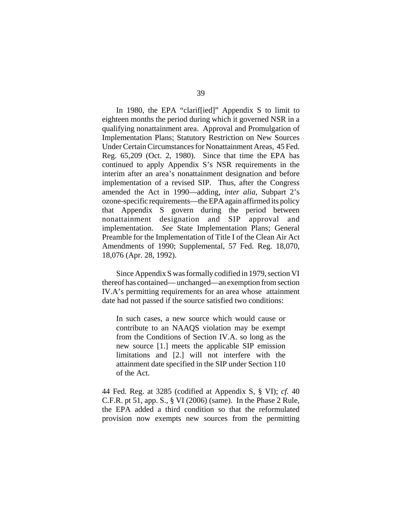In 1980, the EPA "clarif[ied]" Appendix S to limit to eighteen months the period during which it governed NSR in a qualifying nonattainment area. Approval and Promulgation of Implementation Plans; Statutory Restriction on New Sources Under Certain Circumstances for Nonattainment Areas, 45 Fed. Reg. 65,209 (Oct. 2, 1980). Since that time the EPA has continued to apply Appendix S's NSR requirements in the interim after an area's nonattainment designation and before implementation of a revised SIP. Thus, after the Congress amended the Act in 1990—adding, *inter alia*, Subpart 2's ozone-specific requirements—the EPA again affirmed its policy that Appendix S govern during the period between nonattainment designation and SIP approval and implementation. *See* State Implementation Plans; General Preamble for the Implementation of Title I of the Clean Air Act Amendments of 1990; Supplemental, 57 Fed. Reg. 18,070, 18,076 (Apr. 28, 1992).

Since Appendix S was formally codified in 1979, section VI thereof has contained— unchanged—an exemption from section IV.A's permitting requirements for an area whose attainment date had not passed if the source satisfied two conditions:

In such cases, a new source which would cause or contribute to an NAAQS violation may be exempt from the Conditions of Section IV.A. so long as the new source [1.] meets the applicable SIP emission limitations and [2.] will not interfere with the attainment date specified in the SIP under Section 110 of the Act.

44 Fed. Reg. at 3285 (codified at Appendix S, § VI); *cf.* 40 C.F.R. pt 51, app. S., § VI (2006) (same). In the Phase 2 Rule, the EPA added a third condition so that the reformulated provision now exempts new sources from the permitting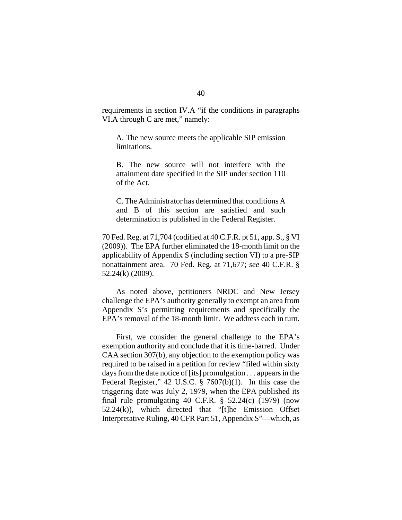requirements in section IV.A "if the conditions in paragraphs VI.A through C are met," namely:

A. The new source meets the applicable SIP emission limitations.

B. The new source will not interfere with the attainment date specified in the SIP under section 110 of the Act.

C. The Administrator has determined that conditions A and B of this section are satisfied and such determination is published in the Federal Register.

70 Fed. Reg. at 71,704 (codified at 40 C.F.R. pt 51, app. S., § VI (2009)). The EPA further eliminated the 18-month limit on the applicability of Appendix S (including section VI) to a pre-SIP nonattainment area. 70 Fed. Reg. at 71,677; *see* 40 C.F.R. § 52.24(k) (2009).

As noted above, petitioners NRDC and New Jersey challenge the EPA's authority generally to exempt an area from Appendix S's permitting requirements and specifically the EPA's removal of the 18-month limit. We address each in turn.

First, we consider the general challenge to the EPA's exemption authority and conclude that it is time-barred. Under CAA section 307(b), any objection to the exemption policy was required to be raised in a petition for review "filed within sixty days from the date notice of [its] promulgation . . . appears in the Federal Register," 42 U.S.C. § 7607(b)(1). In this case the triggering date was July 2, 1979, when the EPA published its final rule promulgating 40 C.F.R.  $\S$  52.24(c) (1979) (now  $52.24(k)$ ), which directed that "[t]he Emission Offset Interpretative Ruling, 40 CFR Part 51, Appendix S"—which, as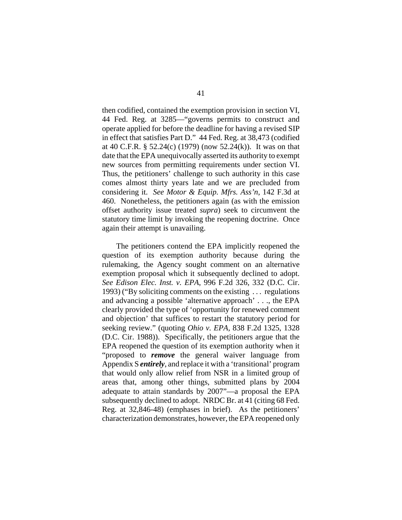then codified, contained the exemption provision in section VI, 44 Fed. Reg. at 3285—"governs permits to construct and operate applied for before the deadline for having a revised SIP in effect that satisfies Part D." 44 Fed. Reg. at 38,473 (codified at 40 C.F.R. § 52.24(c) (1979) (now 52.24(k)). It was on that date that the EPA unequivocally asserted its authority to exempt new sources from permitting requirements under section VI. Thus, the petitioners' challenge to such authority in this case comes almost thirty years late and we are precluded from considering it. *See Motor & Equip. Mfrs. Ass'n*, 142 F.3d at 460. Nonetheless, the petitioners again (as with the emission offset authority issue treated *supra*) seek to circumvent the statutory time limit by invoking the reopening doctrine. Once again their attempt is unavailing.

The petitioners contend the EPA implicitly reopened the question of its exemption authority because during the rulemaking, the Agency sought comment on an alternative exemption proposal which it subsequently declined to adopt. *See Edison Elec. Inst. v. EPA*, 996 F.2d 326, 332 (D.C. Cir. 1993) ("By soliciting comments on the existing . . . regulations and advancing a possible 'alternative approach' . . ., the EPA clearly provided the type of 'opportunity for renewed comment and objection' that suffices to restart the statutory period for seeking review." (quoting *Ohio v. EPA,* 838 F.2d 1325, 1328 (D.C. Cir. 1988)). Specifically, the petitioners argue that the EPA reopened the question of its exemption authority when it "proposed to *remove* the general waiver language from Appendix S *entirely*, and replace it with a 'transitional' program that would only allow relief from NSR in a limited group of areas that, among other things, submitted plans by 2004 adequate to attain standards by 2007"—a proposal the EPA subsequently declined to adopt. NRDC Br. at 41 (citing 68 Fed. Reg. at 32,846-48) (emphases in brief). As the petitioners' characterization demonstrates, however, the EPA reopened only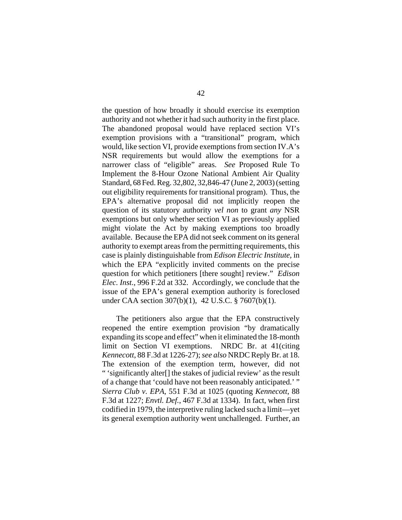the question of how broadly it should exercise its exemption authority and not whether it had such authority in the first place. The abandoned proposal would have replaced section VI's exemption provisions with a "transitional" program, which would, like section VI, provide exemptions from section IV.A's NSR requirements but would allow the exemptions for a narrower class of "eligible" areas. *See* Proposed Rule To Implement the 8-Hour Ozone National Ambient Air Quality Standard, 68 Fed. Reg. 32,802, 32,846-47 (June 2, 2003) (setting out eligibility requirements for transitional program). Thus, the EPA's alternative proposal did not implicitly reopen the question of its statutory authority *vel non* to grant *any* NSR exemptions but only whether section VI as previously applied might violate the Act by making exemptions too broadly available. Because the EPA did not seek comment on its general authority to exempt areas from the permitting requirements, this case is plainly distinguishable from *Edison Electric Institute*, in which the EPA "explicitly invited comments on the precise question for which petitioners [there sought] review." *Edison Elec. Inst.*, 996 F.2d at 332. Accordingly, we conclude that the issue of the EPA's general exemption authority is foreclosed under CAA section 307(b)(1), 42 U.S.C. § 7607(b)(1).

The petitioners also argue that the EPA constructively reopened the entire exemption provision "by dramatically expanding its scope and effect" when it eliminated the 18-month limit on Section VI exemptions. NRDC Br. at 41(citing *Kennecott*, 88 F.3d at 1226-27); *see also* NRDC Reply Br. at 18. The extension of the exemption term, however, did not " 'significantly alter[] the stakes of judicial review' as the result of a change that 'could have not been reasonably anticipated.' " *Sierra Club v. EPA*, 551 F.3d at 1025 (quoting *Kennecott*, 88 F.3d at 1227; *Envtl. Def.*, 467 F.3d at 1334). In fact, when first codified in 1979, the interpretive ruling lacked such a limit—yet its general exemption authority went unchallenged. Further, an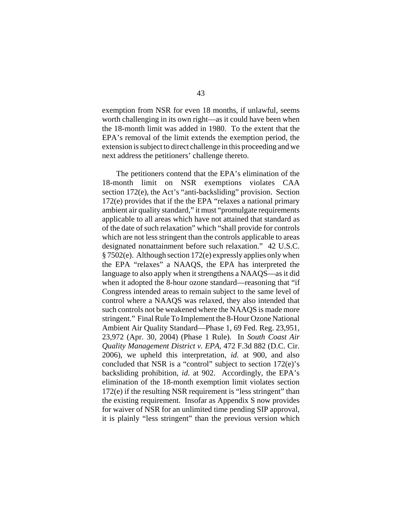exemption from NSR for even 18 months, if unlawful, seems worth challenging in its own right—as it could have been when the 18-month limit was added in 1980. To the extent that the EPA's removal of the limit extends the exemption period, the extension is subject to direct challenge in this proceeding and we next address the petitioners' challenge thereto.

The petitioners contend that the EPA's elimination of the 18-month limit on NSR exemptions violates CAA section 172(e), the Act's "anti-backsliding" provision. Section 172(e) provides that if the the EPA "relaxes a national primary ambient air quality standard," it must "promulgate requirements applicable to all areas which have not attained that standard as of the date of such relaxation" which "shall provide for controls which are not less stringent than the controls applicable to areas designated nonattainment before such relaxation." 42 U.S.C. § 7502(e). Although section 172(e) expressly applies only when the EPA "relaxes" a NAAQS, the EPA has interpreted the language to also apply when it strengthens a NAAQS—as it did when it adopted the 8-hour ozone standard—reasoning that "if Congress intended areas to remain subject to the same level of control where a NAAQS was relaxed, they also intended that such controls not be weakened where the NAAQS is made more stringent." Final Rule To Implement the 8-Hour Ozone National Ambient Air Quality Standard—Phase 1, 69 Fed. Reg. 23,951, 23,972 (Apr. 30, 2004) (Phase 1 Rule). In *South Coast Air Quality Management District v. EPA*, 472 F.3d 882 (D.C. Cir. 2006), we upheld this interpretation, *id.* at 900, and also concluded that NSR is a "control" subject to section 172(e)'s backsliding prohibition, *id*. at 902. Accordingly, the EPA's elimination of the 18-month exemption limit violates section 172(e) if the resulting NSR requirement is "less stringent" than the existing requirement. Insofar as Appendix S now provides for waiver of NSR for an unlimited time pending SIP approval, it is plainly "less stringent" than the previous version which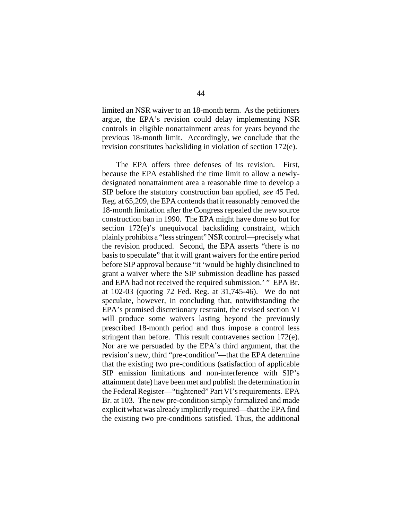limited an NSR waiver to an 18-month term. As the petitioners argue, the EPA's revision could delay implementing NSR controls in eligible nonattainment areas for years beyond the previous 18-month limit. Accordingly, we conclude that the revision constitutes backsliding in violation of section 172(e).

The EPA offers three defenses of its revision. First, because the EPA established the time limit to allow a newlydesignated nonattainment area a reasonable time to develop a SIP before the statutory construction ban applied, *see* 45 Fed. Reg. at 65,209, the EPA contends that it reasonably removed the 18-month limitation after the Congress repealed the new source construction ban in 1990. The EPA might have done so but for section 172(e)'s unequivocal backsliding constraint, which plainly prohibits a "less stringent" NSR control—precisely what the revision produced. Second, the EPA asserts "there is no basis to speculate" that it will grant waivers for the entire period before SIP approval because "it 'would be highly disinclined to grant a waiver where the SIP submission deadline has passed and EPA had not received the required submission.' " EPA Br. at 102-03 (quoting 72 Fed. Reg. at 31,745-46). We do not speculate, however, in concluding that, notwithstanding the EPA's promised discretionary restraint, the revised section VI will produce some waivers lasting beyond the previously prescribed 18-month period and thus impose a control less stringent than before. This result contravenes section 172(e). Nor are we persuaded by the EPA's third argument, that the revision's new, third "pre-condition"—that the EPA determine that the existing two pre-conditions (satisfaction of applicable SIP emission limitations and non-interference with SIP's attainment date) have been met and publish the determination in the Federal Register—"tightened" Part VI's requirements. EPA Br. at 103. The new pre-condition simply formalized and made explicit what was already implicitly required—that the EPA find the existing two pre-conditions satisfied. Thus, the additional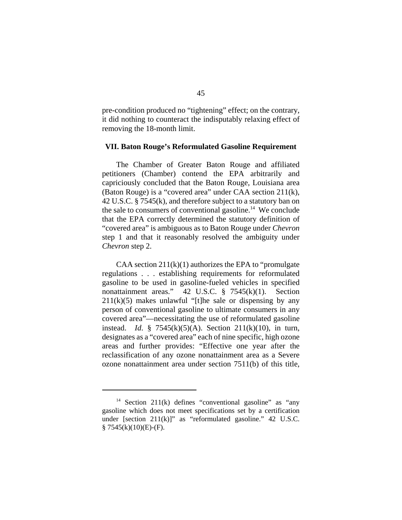pre-condition produced no "tightening" effect; on the contrary, it did nothing to counteract the indisputably relaxing effect of removing the 18-month limit.

#### **VII. Baton Rouge's Reformulated Gasoline Requirement**

The Chamber of Greater Baton Rouge and affiliated petitioners (Chamber) contend the EPA arbitrarily and capriciously concluded that the Baton Rouge, Louisiana area (Baton Rouge) is a "covered area" under CAA section 211(k), 42 U.S.C. § 7545(k), and therefore subject to a statutory ban on the sale to consumers of conventional gasoline.<sup>14</sup> We conclude that the EPA correctly determined the statutory definition of "covered area" is ambiguous as to Baton Rouge under *Chevron* step 1 and that it reasonably resolved the ambiguity under *Chevron* step 2.

CAA section  $211(k)(1)$  authorizes the EPA to "promulgate" regulations . . . establishing requirements for reformulated gasoline to be used in gasoline-fueled vehicles in specified nonattainment areas." 42 U.S.C. § 7545(k)(1). Section  $211(k)(5)$  makes unlawful "[t]he sale or dispensing by any person of conventional gasoline to ultimate consumers in any covered area"—necessitating the use of reformulated gasoline instead. *Id*. § 7545(k)(5)(A). Section 211(k)(10), in turn, designates as a "covered area" each of nine specific, high ozone areas and further provides: "Effective one year after the reclassification of any ozone nonattainment area as a Severe ozone nonattainment area under section 7511(b) of this title,

<sup>&</sup>lt;sup>14</sup> Section 211(k) defines "conventional gasoline" as "any gasoline which does not meet specifications set by a certification under [section  $211(k)$ ]" as "reformulated gasoline." 42 U.S.C.  $§ 7545(k)(10)(E)-(F).$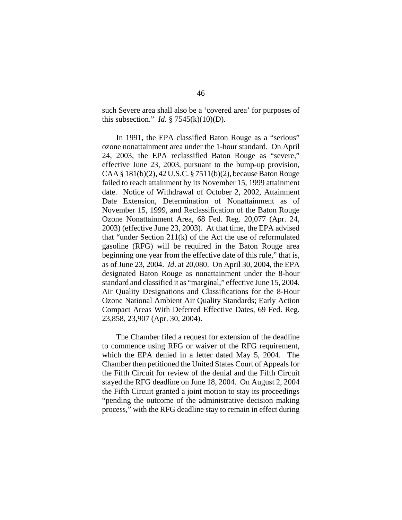such Severe area shall also be a 'covered area' for purposes of this subsection." *Id.*  $\S$  7545(k)(10)(D).

In 1991, the EPA classified Baton Rouge as a "serious" ozone nonattainment area under the 1-hour standard. On April 24, 2003, the EPA reclassified Baton Rouge as "severe," effective June 23, 2003, pursuant to the bump-up provision, CAA § 181(b)(2), 42 U.S.C. § 7511(b)(2), because Baton Rouge failed to reach attainment by its November 15, 1999 attainment date. Notice of Withdrawal of October 2, 2002, Attainment Date Extension, Determination of Nonattainment as of November 15, 1999, and Reclassification of the Baton Rouge Ozone Nonattainment Area, 68 Fed. Reg. 20,077 (Apr. 24, 2003) (effective June 23, 2003). At that time, the EPA advised that "under Section 211(k) of the Act the use of reformulated gasoline (RFG) will be required in the Baton Rouge area beginning one year from the effective date of this rule," that is, as of June 23, 2004. *Id*. at 20,080. On April 30, 2004, the EPA designated Baton Rouge as nonattainment under the 8-hour standard and classified it as "marginal," effective June 15, 2004. Air Quality Designations and Classifications for the 8-Hour Ozone National Ambient Air Quality Standards; Early Action Compact Areas With Deferred Effective Dates, 69 Fed. Reg. 23,858, 23,907 (Apr. 30, 2004).

The Chamber filed a request for extension of the deadline to commence using RFG or waiver of the RFG requirement, which the EPA denied in a letter dated May 5, 2004. The Chamber then petitioned the United States Court of Appeals for the Fifth Circuit for review of the denial and the Fifth Circuit stayed the RFG deadline on June 18, 2004. On August 2, 2004 the Fifth Circuit granted a joint motion to stay its proceedings "pending the outcome of the administrative decision making process," with the RFG deadline stay to remain in effect during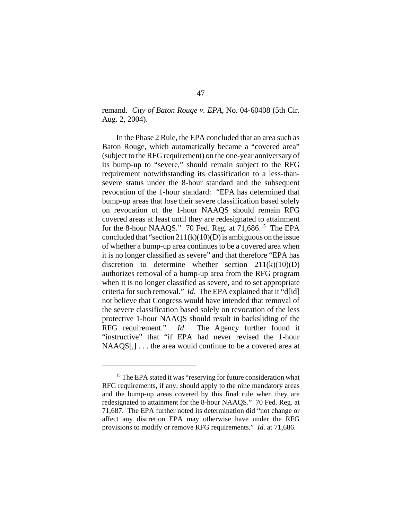remand. *City of Baton Rouge v. EPA*, No. 04-60408 (5th Cir. Aug. 2, 2004).

In the Phase 2 Rule, the EPA concluded that an area such as Baton Rouge, which automatically became a "covered area" (subject to the RFG requirement) on the one-year anniversary of its bump-up to "severe," should remain subject to the RFG requirement notwithstanding its classification to a less-thansevere status under the 8-hour standard and the subsequent revocation of the 1-hour standard: "EPA has determined that bump-up areas that lose their severe classification based solely on revocation of the 1-hour NAAQS should remain RFG covered areas at least until they are redesignated to attainment for the 8-hour NAAQS." 70 Fed. Reg. at 71,686.<sup>15</sup> The EPA concluded that "section  $211(k)(10)(D)$  is ambiguous on the issue of whether a bump-up area continues to be a covered area when it is no longer classified as severe" and that therefore "EPA has discretion to determine whether section  $211(k)(10)(D)$ authorizes removal of a bump-up area from the RFG program when it is no longer classified as severe, and to set appropriate criteria for such removal." *Id*. The EPA explained that it "d[id] not believe that Congress would have intended that removal of the severe classification based solely on revocation of the less protective 1-hour NAAQS should result in backsliding of the RFG requirement." *Id*. The Agency further found it "instructive" that "if EPA had never revised the 1-hour NAAQS[,]... the area would continue to be a covered area at

<sup>&</sup>lt;sup>15</sup> The EPA stated it was "reserving for future consideration what RFG requirements, if any, should apply to the nine mandatory areas and the bump-up areas covered by this final rule when they are redesignated to attainment for the 8-hour NAAQS." 70 Fed. Reg. at 71,687. The EPA further noted its determination did "not change or affect any discretion EPA may otherwise have under the RFG provisions to modify or remove RFG requirements." *Id*. at 71,686.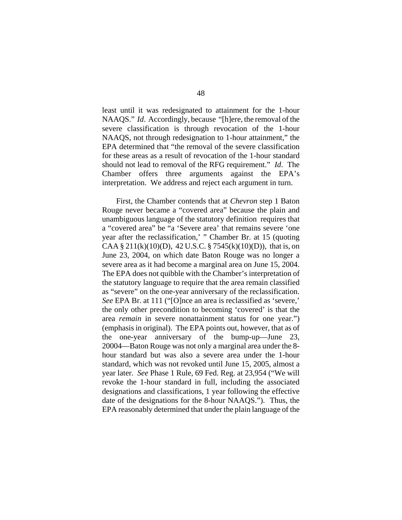least until it was redesignated to attainment for the 1-hour NAAQS." *Id*. Accordingly, because "[h]ere, the removal of the severe classification is through revocation of the 1-hour NAAQS, not through redesignation to 1-hour attainment," the EPA determined that "the removal of the severe classification for these areas as a result of revocation of the 1-hour standard should not lead to removal of the RFG requirement." *Id*. The Chamber offers three arguments against the EPA's interpretation. We address and reject each argument in turn.

First, the Chamber contends that at *Chevron* step 1 Baton Rouge never became a "covered area" because the plain and unambiguous language of the statutory definition requires that a "covered area" be "a 'Severe area' that remains severe 'one year after the reclassification,' " Chamber Br. at 15 (quoting CAA § 211(k)(10)(D), 42 U.S.C. § 7545(k)(10)(D)), that is, on June 23, 2004, on which date Baton Rouge was no longer a severe area as it had become a marginal area on June 15, 2004. The EPA does not quibble with the Chamber's interpretation of the statutory language to require that the area remain classified as "severe" on the one-year anniversary of the reclassification. *See* EPA Br. at 111 ("[O]nce an area is reclassified as 'severe,' the only other precondition to becoming 'covered' is that the area *remain* in severe nonattainment status for one year.") (emphasis in original). The EPA points out, however, that as of the one-year anniversary of the bump-up—June 23, 20004—Baton Rouge was not only a marginal area under the 8 hour standard but was also a severe area under the 1-hour standard, which was not revoked until June 15, 2005, almost a year later. *See* Phase 1 Rule, 69 Fed. Reg. at 23,954 ("We will revoke the 1-hour standard in full, including the associated designations and classifications, 1 year following the effective date of the designations for the 8-hour NAAQS."). Thus, the EPA reasonably determined that under the plain language of the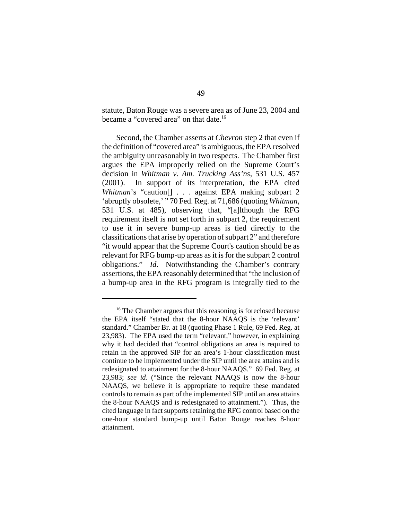statute, Baton Rouge was a severe area as of June 23, 2004 and became a "covered area" on that date.<sup>16</sup>

Second, the Chamber asserts at *Chevron* step 2 that even if the definition of "covered area" is ambiguous, the EPA resolved the ambiguity unreasonably in two respects. The Chamber first argues the EPA improperly relied on the Supreme Court's decision in *Whitman v. Am. Trucking Ass'ns,* 531 U.S. 457 (2001). In support of its interpretation, the EPA cited *Whitman*'s "caution<sup>[]</sup> . . . against EPA making subpart 2 'abruptly obsolete,' " 70 Fed. Reg. at 71,686 (quoting *Whitman*, 531 U.S. at 485), observing that, "[a]lthough the RFG requirement itself is not set forth in subpart 2, the requirement to use it in severe bump-up areas is tied directly to the classifications that arise by operation of subpart 2" and therefore "it would appear that the Supreme Court's caution should be as relevant for RFG bump-up areas as it is for the subpart 2 control obligations." *Id*. Notwithstanding the Chamber's contrary assertions, the EPA reasonably determined that "the inclusion of a bump-up area in the RFG program is integrally tied to the

<sup>&</sup>lt;sup>16</sup> The Chamber argues that this reasoning is foreclosed because the EPA itself "stated that the 8-hour NAAQS is the 'relevant' standard." Chamber Br. at 18 (quoting Phase 1 Rule, 69 Fed. Reg. at 23,983). The EPA used the term "relevant," however, in explaining why it had decided that "control obligations an area is required to retain in the approved SIP for an area's 1-hour classification must continue to be implemented under the SIP until the area attains and is redesignated to attainment for the 8-hour NAAQS." 69 Fed. Reg. at 23,983; *see id*. ("Since the relevant NAAQS is now the 8-hour NAAQS, we believe it is appropriate to require these mandated controls to remain as part of the implemented SIP until an area attains the 8-hour NAAQS and is redesignated to attainment."). Thus, the cited language in fact supports retaining the RFG control based on the one-hour standard bump-up until Baton Rouge reaches 8-hour attainment.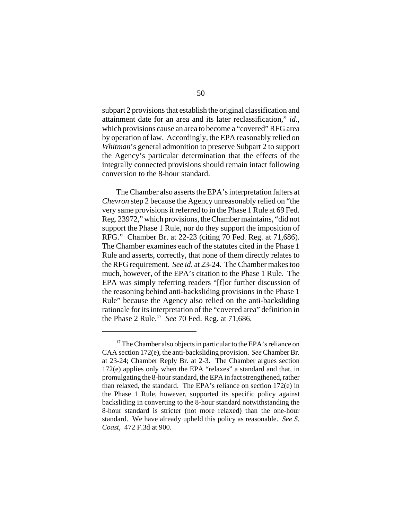subpart 2 provisions that establish the original classification and attainment date for an area and its later reclassification," *id*., which provisions cause an area to become a "covered" RFG area by operation of law. Accordingly, the EPA reasonably relied on *Whitman*'s general admonition to preserve Subpart 2 to support the Agency's particular determination that the effects of the integrally connected provisions should remain intact following conversion to the 8-hour standard.

The Chamber also asserts the EPA's interpretation falters at *Chevron* step 2 because the Agency unreasonably relied on "the very same provisions it referred to in the Phase 1 Rule at 69 Fed. Reg. 23972," which provisions, the Chamber maintains, "did not support the Phase 1 Rule, nor do they support the imposition of RFG." Chamber Br. at 22-23 (citing 70 Fed. Reg. at 71,686). The Chamber examines each of the statutes cited in the Phase 1 Rule and asserts, correctly, that none of them directly relates to the RFG requirement. *See id*. at 23-24. The Chamber makes too much, however, of the EPA's citation to the Phase 1 Rule. The EPA was simply referring readers "[f]or further discussion of the reasoning behind anti-backsliding provisions in the Phase 1 Rule" because the Agency also relied on the anti-backsliding rationale for its interpretation of the "covered area" definition in the Phase 2 Rule.17 *See* 70 Fed. Reg. at 71,686.

 $17$  The Chamber also objects in particular to the EPA's reliance on CAA section 172(e), the anti-backsliding provision. *See* Chamber Br. at 23-24; Chamber Reply Br. at 2-3. The Chamber argues section 172(e) applies only when the EPA "relaxes" a standard and that, in promulgating the 8-hour standard, the EPA in fact strengthened, rather than relaxed, the standard. The EPA's reliance on section 172(e) in the Phase 1 Rule, however, supported its specific policy against backsliding in converting to the 8-hour standard notwithstanding the 8-hour standard is stricter (not more relaxed) than the one-hour standard. We have already upheld this policy as reasonable. *See S. Coast*, 472 F.3d at 900.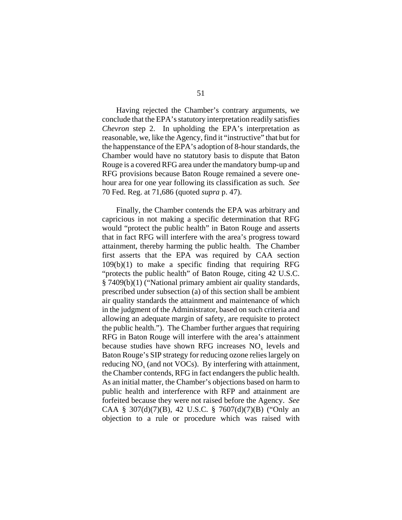Having rejected the Chamber's contrary arguments, we conclude that the EPA's statutory interpretation readily satisfies *Chevron* step 2. In upholding the EPA's interpretation as reasonable, we, like the Agency, find it "instructive" that but for the happenstance of the EPA's adoption of 8-hour standards, the Chamber would have no statutory basis to dispute that Baton Rouge is a covered RFG area under the mandatory bump-up and RFG provisions because Baton Rouge remained a severe onehour area for one year following its classification as such. *See* 70 Fed. Reg. at 71,686 (quoted *supra* p. 47).

Finally, the Chamber contends the EPA was arbitrary and capricious in not making a specific determination that RFG would "protect the public health" in Baton Rouge and asserts that in fact RFG will interfere with the area's progress toward attainment, thereby harming the public health. The Chamber first asserts that the EPA was required by CAA section 109(b)(1) to make a specific finding that requiring RFG "protects the public health" of Baton Rouge, citing 42 U.S.C. § 7409(b)(1) ("National primary ambient air quality standards, prescribed under subsection (a) of this section shall be ambient air quality standards the attainment and maintenance of which in the judgment of the Administrator, based on such criteria and allowing an adequate margin of safety, are requisite to protect the public health."). The Chamber further argues that requiring RFG in Baton Rouge will interfere with the area's attainment because studies have shown RFG increases  $NO<sub>x</sub>$  levels and Baton Rouge's SIP strategy for reducing ozone relies largely on reducing  $NO<sub>x</sub>$  (and not VOCs). By interfering with attainment, the Chamber contends, RFG in fact endangers the public health. As an initial matter, the Chamber's objections based on harm to public health and interference with RFP and attainment are forfeited because they were not raised before the Agency. *See* CAA § 307(d)(7)(B), 42 U.S.C. § 7607(d)(7)(B) ("Only an objection to a rule or procedure which was raised with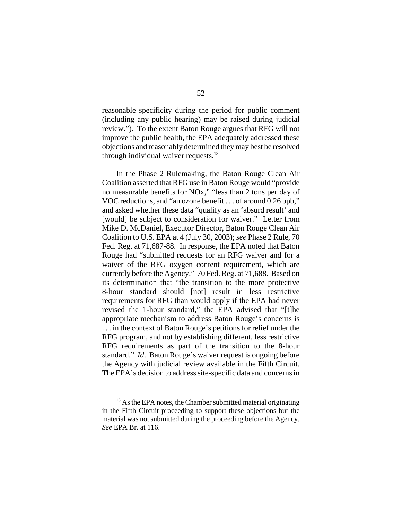reasonable specificity during the period for public comment (including any public hearing) may be raised during judicial review."). To the extent Baton Rouge argues that RFG will not improve the public health, the EPA adequately addressed these objections and reasonably determined they may best be resolved through individual waiver requests. $18$ 

In the Phase 2 Rulemaking, the Baton Rouge Clean Air Coalition asserted that RFG use in Baton Rouge would "provide no measurable benefits for NOx," "less than 2 tons per day of VOC reductions, and "an ozone benefit . . . of around 0.26 ppb," and asked whether these data "qualify as an 'absurd result' and [would] be subject to consideration for waiver." Letter from Mike D. McDaniel, Executor Director, Baton Rouge Clean Air Coalition to U.S. EPA at 4 (July 30, 2003); *see* Phase 2 Rule, 70 Fed. Reg. at 71,687-88. In response, the EPA noted that Baton Rouge had "submitted requests for an RFG waiver and for a waiver of the RFG oxygen content requirement, which are currently before the Agency." 70 Fed. Reg. at 71,688. Based on its determination that "the transition to the more protective 8-hour standard should [not] result in less restrictive requirements for RFG than would apply if the EPA had never revised the 1-hour standard," the EPA advised that "[t]he appropriate mechanism to address Baton Rouge's concerns is . . . in the context of Baton Rouge's petitions for relief under the RFG program, and not by establishing different, less restrictive RFG requirements as part of the transition to the 8-hour standard." *Id*. Baton Rouge's waiver request is ongoing before the Agency with judicial review available in the Fifth Circuit. The EPA's decision to address site-specific data and concerns in

<sup>&</sup>lt;sup>18</sup> As the EPA notes, the Chamber submitted material originating in the Fifth Circuit proceeding to support these objections but the material was not submitted during the proceeding before the Agency. *See* EPA Br. at 116.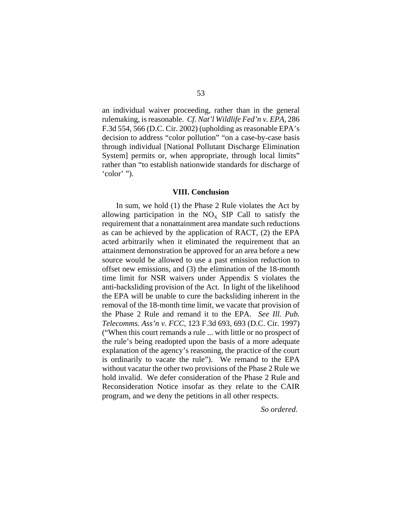an individual waiver proceeding, rather than in the general rulemaking, is reasonable. *Cf*. *Nat'l Wildlife Fed'n v. EPA*, 286 F.3d 554, 566 (D.C. Cir. 2002) (upholding as reasonable EPA's decision to address "color pollution" "on a case-by-case basis through individual [National Pollutant Discharge Elimination System] permits or, when appropriate, through local limits" rather than "to establish nationwide standards for discharge of 'color' ").

#### **VIII. Conclusion**

In sum, we hold (1) the Phase 2 Rule violates the Act by allowing participation in the  $NO<sub>x</sub>$  SIP Call to satisfy the requirement that a nonattainment area mandate such reductions as can be achieved by the application of RACT, (2) the EPA acted arbitrarily when it eliminated the requirement that an attainment demonstration be approved for an area before a new source would be allowed to use a past emission reduction to offset new emissions, and (3) the elimination of the 18-month time limit for NSR waivers under Appendix S violates the anti-backsliding provision of the Act. In light of the likelihood the EPA will be unable to cure the backsliding inherent in the removal of the 18-month time limit, we vacate that provision of the Phase 2 Rule and remand it to the EPA. *See Ill. Pub. Telecomms. Ass'n v. FCC*, 123 F.3d 693, 693 (D.C. Cir. 1997) ("When this court remands a rule ... with little or no prospect of the rule's being readopted upon the basis of a more adequate explanation of the agency's reasoning, the practice of the court is ordinarily to vacate the rule"). We remand to the EPA without vacatur the other two provisions of the Phase 2 Rule we hold invalid. We defer consideration of the Phase 2 Rule and Reconsideration Notice insofar as they relate to the CAIR program, and we deny the petitions in all other respects.

### *So ordered*.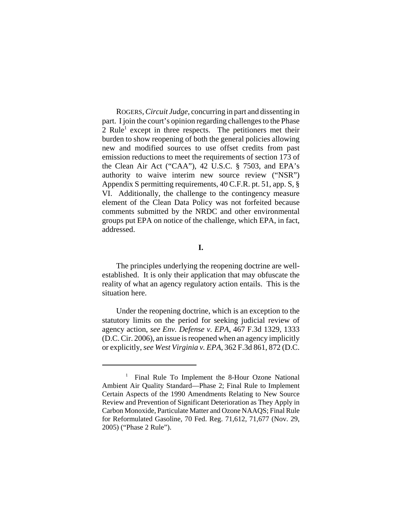ROGERS, *Circuit Judge*, concurring in part and dissenting in part. I join the court's opinion regarding challenges to the Phase 2 Rule<sup>1</sup> except in three respects. The petitioners met their burden to show reopening of both the general policies allowing new and modified sources to use offset credits from past emission reductions to meet the requirements of section 173 of the Clean Air Act ("CAA"), 42 U.S.C. § 7503, and EPA's authority to waive interim new source review ("NSR") Appendix S permitting requirements, 40 C.F.R. pt. 51, app. S, § VI. Additionally, the challenge to the contingency measure element of the Clean Data Policy was not forfeited because comments submitted by the NRDC and other environmental groups put EPA on notice of the challenge, which EPA, in fact, addressed.

# **I.**

The principles underlying the reopening doctrine are wellestablished. It is only their application that may obfuscate the reality of what an agency regulatory action entails. This is the situation here.

Under the reopening doctrine, which is an exception to the statutory limits on the period for seeking judicial review of agency action, *see Env. Defense v. EPA*, 467 F.3d 1329, 1333 (D.C. Cir. 2006), an issue is reopened when an agency implicitly or explicitly, *see West Virginia v. EPA*, 362 F.3d 861, 872 (D.C.

<sup>&</sup>lt;sup>1</sup> Final Rule To Implement the 8-Hour Ozone National Ambient Air Quality Standard—Phase 2; Final Rule to Implement Certain Aspects of the 1990 Amendments Relating to New Source Review and Prevention of Significant Deterioration as They Apply in Carbon Monoxide, Particulate Matter and Ozone NAAQS; Final Rule for Reformulated Gasoline, 70 Fed. Reg. 71,612, 71,677 (Nov. 29, 2005) ("Phase 2 Rule").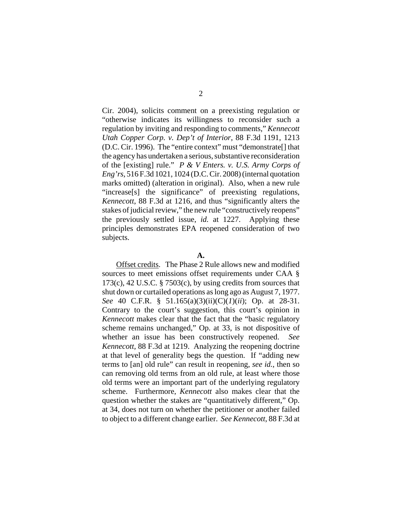Cir. 2004), solicits comment on a preexisting regulation or "otherwise indicates its willingness to reconsider such a regulation by inviting and responding to comments," *Kennecott Utah Copper Corp. v. Dep't of Interior*, 88 F.3d 1191, 1213 (D.C. Cir. 1996). The "entire context" must "demonstrate[] that the agency has undertaken a serious, substantive reconsideration of the [existing] rule." *P & V Enters. v. U.S. Army Corps of Eng'rs*, 516 F.3d 1021, 1024 (D.C. Cir. 2008) (internal quotation marks omitted) (alteration in original). Also, when a new rule "increase[s] the significance" of preexisting regulations, *Kennecott*, 88 F.3d at 1216, and thus "significantly alters the stakes of judicial review," the new rule "constructively reopens" the previously settled issue, *id.* at 1227. Applying these principles demonstrates EPA reopened consideration of two subjects.

### **A.**

Offset credits. The Phase 2 Rule allows new and modified sources to meet emissions offset requirements under CAA § 173(c), 42 U.S.C. § 7503(c), by using credits from sources that shut down or curtailed operations as long ago as August 7, 1977. *See* 40 C.F.R. § 51.165(a)(3)(ii)(C)(*1*)(*ii*); Op. at 28-31. Contrary to the court's suggestion, this court's opinion in *Kennecott* makes clear that the fact that the "basic regulatory scheme remains unchanged," Op. at 33, is not dispositive of whether an issue has been constructively reopened. *See Kennecott,* 88 F.3d at 1219. Analyzing the reopening doctrine at that level of generality begs the question. If "adding new terms to [an] old rule" can result in reopening, *see id.*, then so can removing old terms from an old rule, at least where those old terms were an important part of the underlying regulatory scheme. Furthermore, *Kennecott* also makes clear that the question whether the stakes are "quantitatively different," Op. at 34, does not turn on whether the petitioner or another failed to object to a different change earlier. *See Kennecott*, 88 F.3d at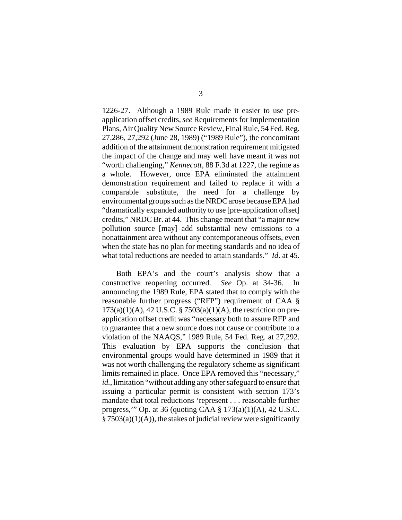1226-27. Although a 1989 Rule made it easier to use preapplication offset credits, *see* Requirements for Implementation Plans, Air Quality New Source Review, Final Rule, 54 Fed. Reg. 27,286, 27,292 (June 28, 1989) ("1989 Rule"), the concomitant addition of the attainment demonstration requirement mitigated the impact of the change and may well have meant it was not "worth challenging," *Kennecott*, 88 F.3d at 1227, the regime as a whole. However, once EPA eliminated the attainment demonstration requirement and failed to replace it with a comparable substitute, the need for a challenge by environmental groups such as the NRDC arose because EPA had "dramatically expanded authority to use [pre-application offset] credits," NRDC Br. at 44. This change meant that "a major new pollution source [may] add substantial new emissions to a nonattainment area without any contemporaneous offsets, even when the state has no plan for meeting standards and no idea of what total reductions are needed to attain standards." *Id*. at 45.

Both EPA's and the court's analysis show that a constructive reopening occurred. *See* Op. at 34-36. In announcing the 1989 Rule, EPA stated that to comply with the reasonable further progress ("RFP") requirement of CAA § 173(a)(1)(A), 42 U.S.C. § 7503(a)(1)(A), the restriction on preapplication offset credit was "necessary both to assure RFP and to guarantee that a new source does not cause or contribute to a violation of the NAAQS," 1989 Rule, 54 Fed. Reg. at 27,292. This evaluation by EPA supports the conclusion that environmental groups would have determined in 1989 that it was not worth challenging the regulatory scheme as significant limits remained in place. Once EPA removed this "necessary," *id.*, limitation "without adding any other safeguard to ensure that issuing a particular permit is consistent with section 173's mandate that total reductions 'represent . . . reasonable further progress,'" Op. at 36 (quoting CAA § 173(a)(1)(A), 42 U.S.C.  $\S 7503(a)(1)(A)$ , the stakes of judicial review were significantly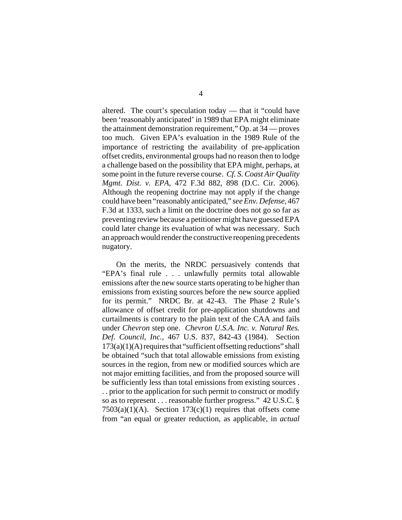altered. The court's speculation today — that it "could have been 'reasonably anticipated' in 1989 that EPA might eliminate the attainment demonstration requirement," Op. at 34 — proves too much. Given EPA's evaluation in the 1989 Rule of the importance of restricting the availability of pre-application offset credits, environmental groups had no reason then to lodge a challenge based on the possibility that EPA might, perhaps, at some point in the future reverse course. *Cf. S. Coast Air Quality Mgmt. Dist. v. EPA*, 472 F.3d 882, 898 (D.C. Cir. 2006). Although the reopening doctrine may not apply if the change could have been "reasonably anticipated," *see Env. Defense*, 467 F.3d at 1333, such a limit on the doctrine does not go so far as preventing review because a petitioner might have guessed EPA could later change its evaluation of what was necessary. Such an approach would render the constructive reopening precedents nugatory.

On the merits, the NRDC persuasively contends that "EPA's final rule . . . unlawfully permits total allowable emissions after the new source starts operating to be higher than emissions from existing sources before the new source applied for its permit." NRDC Br. at 42-43. The Phase 2 Rule's allowance of offset credit for pre-application shutdowns and curtailments is contrary to the plain text of the CAA and fails under *Chevron* step one. *Chevron U.S.A. Inc. v. Natural Res. Def. Council, Inc.*, 467 U.S. 837, 842-43 (1984). Section  $173(a)(1)(A)$  requires that "sufficient offsetting reductions" shall be obtained "such that total allowable emissions from existing sources in the region, from new or modified sources which are not major emitting facilities, and from the proposed source will be sufficiently less than total emissions from existing sources . . . prior to the application for such permit to construct or modify so as to represent . . . reasonable further progress." 42 U.S.C. §  $7503(a)(1)(A)$ . Section  $173(c)(1)$  requires that offsets come from "an equal or greater reduction, as applicable, in *actual*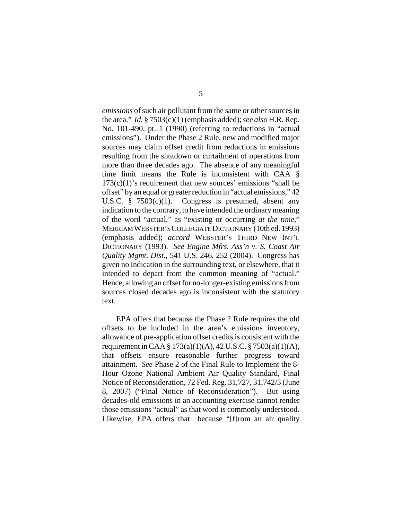*emissions* of such air pollutant from the same or other sources in the area." *Id.* § 7503(c)(1) (emphasis added); *see also* H.R. Rep. No. 101-490, pt. 1 (1990) (referring to reductions in "actual emissions"). Under the Phase 2 Rule, new and modified major sources may claim offset credit from reductions in emissions resulting from the shutdown or curtailment of operations from more than three decades ago. The absence of any meaningful time limit means the Rule is inconsistent with CAA §  $173(c)(1)$ 's requirement that new sources' emissions "shall be offset" by an equal or greater reduction in "actual emissions," 42 U.S.C. § 7503(c)(1). Congress is presumed, absent any indication to the contrary, to have intended the ordinary meaning of the word "actual," as "existing or occurring *at the time*," MERRIAM WEBSTER'S COLLEGIATE DICTIONARY (10th ed. 1993) (emphasis added); *accord* WEBSTER'S THIRD NEW INT'L DICTIONARY (1993). *See Engine Mfrs. Ass'n v. S. Coast Air Quality Mgmt. Dist.*, 541 U.S. 246, 252 (2004). Congress has given no indication in the surrounding text, or elsewhere, that it intended to depart from the common meaning of "actual." Hence, allowing an offset for no-longer-existing emissions from sources closed decades ago is inconsistent with the statutory text.

EPA offers that because the Phase 2 Rule requires the old offsets to be included in the area's emissions inventory, allowance of pre-application offset credits is consistent with the requirement in CAA § 173(a)(1)(A), 42 U.S.C. § 7503(a)(1)(A), that offsets ensure reasonable further progress toward attainment. *See* Phase 2 of the Final Rule to Implement the 8- Hour Ozone National Ambient Air Quality Standard, Final Notice of Reconsideration, 72 Fed. Reg. 31,727, 31,742/3 (June 8, 2007) ("Final Notice of Reconsideration"). But using decades-old emissions in an accounting exercise cannot render those emissions "actual" as that word is commonly understood. Likewise, EPA offers that because "[f]rom an air quality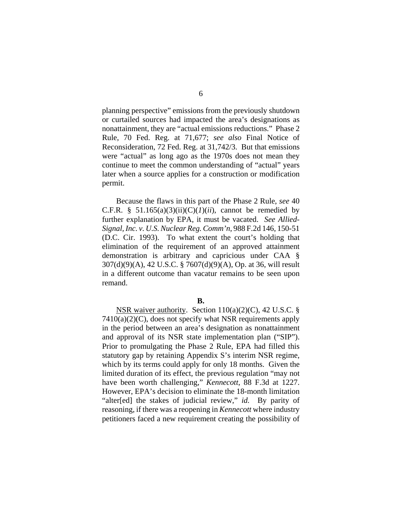planning perspective" emissions from the previously shutdown or curtailed sources had impacted the area's designations as nonattainment, they are "actual emissions reductions." Phase 2 Rule, 70 Fed. Reg. at 71,677; *see also* Final Notice of Reconsideration, 72 Fed. Reg. at 31,742/3. But that emissions were "actual" as long ago as the 1970s does not mean they continue to meet the common understanding of "actual" years later when a source applies for a construction or modification permit.

Because the flaws in this part of the Phase 2 Rule, *see* 40 C.F.R. § 51.165(a)(3)(ii)(C)( $I$ )(*ii*), cannot be remedied by further explanation by EPA, it must be vacated. *See Allied-Signal, Inc. v. U.S. Nuclear Reg. Comm'n*, 988 F.2d 146, 150-51 (D.C. Cir. 1993). To what extent the court's holding that elimination of the requirement of an approved attainment demonstration is arbitrary and capricious under CAA § 307(d)(9)(A), 42 U.S.C. § 7607(d)(9)(A), Op. at 36, will result in a different outcome than vacatur remains to be seen upon remand.

#### **B.**

NSR waiver authority. Section  $110(a)(2)(C)$ , 42 U.S.C. § 7410(a)(2)(C), does not specify what NSR requirements apply in the period between an area's designation as nonattainment and approval of its NSR state implementation plan ("SIP"). Prior to promulgating the Phase 2 Rule, EPA had filled this statutory gap by retaining Appendix S's interim NSR regime, which by its terms could apply for only 18 months. Given the limited duration of its effect, the previous regulation "may not have been worth challenging," *Kennecott*, 88 F.3d at 1227. However, EPA's decision to eliminate the 18-month limitation "alter[ed] the stakes of judicial review," *id.* By parity of reasoning, if there was a reopening in *Kennecott* where industry petitioners faced a new requirement creating the possibility of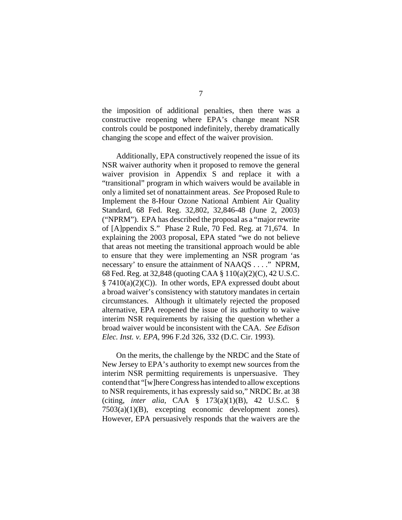the imposition of additional penalties, then there was a constructive reopening where EPA's change meant NSR controls could be postponed indefinitely, thereby dramatically changing the scope and effect of the waiver provision.

Additionally, EPA constructively reopened the issue of its NSR waiver authority when it proposed to remove the general waiver provision in Appendix S and replace it with a "transitional" program in which waivers would be available in only a limited set of nonattainment areas. *See* Proposed Rule to Implement the 8-Hour Ozone National Ambient Air Quality Standard, 68 Fed. Reg. 32,802, 32,846-48 (June 2, 2003) ("NPRM"). EPA has described the proposal as a "major rewrite of [A]ppendix S." Phase 2 Rule, 70 Fed. Reg. at 71,674. In explaining the 2003 proposal, EPA stated "we do not believe that areas not meeting the transitional approach would be able to ensure that they were implementing an NSR program 'as necessary' to ensure the attainment of NAAQS . . . ." NPRM, 68 Fed. Reg. at 32,848 (quoting CAA § 110(a)(2)(C), 42 U.S.C.  $§ 7410(a)(2)(C)$ . In other words, EPA expressed doubt about a broad waiver's consistency with statutory mandates in certain circumstances. Although it ultimately rejected the proposed alternative, EPA reopened the issue of its authority to waive interim NSR requirements by raising the question whether a broad waiver would be inconsistent with the CAA. *See Edison Elec. Inst. v. EPA*, 996 F.2d 326, 332 (D.C. Cir. 1993).

On the merits, the challenge by the NRDC and the State of New Jersey to EPA's authority to exempt new sources from the interim NSR permitting requirements is unpersuasive. They contend that "[w]here Congress has intended to allow exceptions to NSR requirements, it has expressly said so," NRDC Br. at 38 (citing, *inter alia*, CAA § 173(a)(1)(B), 42 U.S.C. § 7503(a)(1)(B), excepting economic development zones). However, EPA persuasively responds that the waivers are the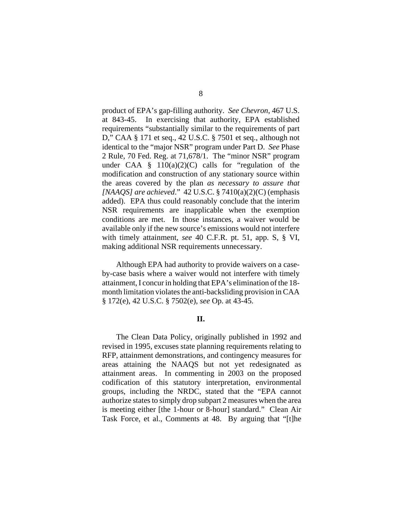product of EPA's gap-filling authority. *See Chevron*, 467 U.S. at 843-45. In exercising that authority, EPA established requirements "substantially similar to the requirements of part D," CAA § 171 et seq., 42 U.S.C. § 7501 et seq., although not identical to the "major NSR" program under Part D. *See* Phase 2 Rule, 70 Fed. Reg. at 71,678/1. The "minor NSR" program under CAA  $\S$  110(a)(2)(C) calls for "regulation of the modification and construction of any stationary source within the areas covered by the plan *as necessary to assure that [NAAQS] are achieved*." 42 U.S.C. § 7410(a)(2)(C) (emphasis added). EPA thus could reasonably conclude that the interim NSR requirements are inapplicable when the exemption conditions are met. In those instances, a waiver would be available only if the new source's emissions would not interfere with timely attainment, *see* 40 C.F.R. pt. 51, app. S, § VI, making additional NSR requirements unnecessary.

Although EPA had authority to provide waivers on a caseby-case basis where a waiver would not interfere with timely attainment, I concur in holding that EPA's elimination of the 18 month limitation violates the anti-backsliding provision in CAA § 172(e), 42 U.S.C. § 7502(e), *see* Op. at 43-45.

## **II.**

The Clean Data Policy, originally published in 1992 and revised in 1995, excuses state planning requirements relating to RFP, attainment demonstrations, and contingency measures for areas attaining the NAAQS but not yet redesignated as attainment areas. In commenting in 2003 on the proposed codification of this statutory interpretation, environmental groups, including the NRDC, stated that the "EPA cannot authorize states to simply drop subpart 2 measures when the area is meeting either [the 1-hour or 8-hour] standard." Clean Air Task Force, et al., Comments at 48. By arguing that "[t]he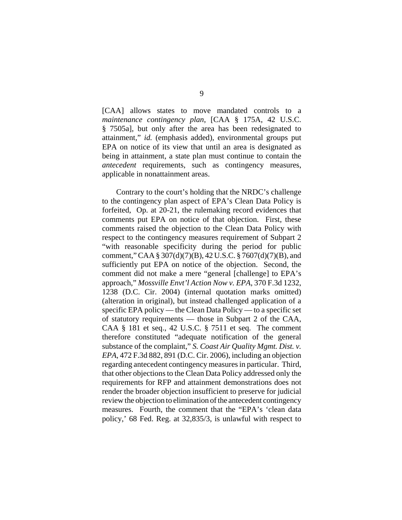[CAA] allows states to move mandated controls to a *maintenance contingency plan*, [CAA § 175A, 42 U.S.C. § 7505a], but only after the area has been redesignated to attainment," *id.* (emphasis added), environmental groups put EPA on notice of its view that until an area is designated as being in attainment, a state plan must continue to contain the *antecedent* requirements, such as contingency measures, applicable in nonattainment areas.

Contrary to the court's holding that the NRDC's challenge to the contingency plan aspect of EPA's Clean Data Policy is forfeited, Op. at 20-21, the rulemaking record evidences that comments put EPA on notice of that objection. First, these comments raised the objection to the Clean Data Policy with respect to the contingency measures requirement of Subpart 2 "with reasonable specificity during the period for public comment," CAA § 307(d)(7)(B), 42 U.S.C. § 7607(d)(7)(B), and sufficiently put EPA on notice of the objection. Second, the comment did not make a mere "general [challenge] to EPA's approach," *Mossville Envt'l Action Now v. EPA*, 370 F.3d 1232, 1238 (D.C. Cir. 2004) (internal quotation marks omitted) (alteration in original), but instead challenged application of a specific EPA policy — the Clean Data Policy — to a specific set of statutory requirements — those in Subpart 2 of the CAA, CAA § 181 et seq., 42 U.S.C. § 7511 et seq. The comment therefore constituted "adequate notification of the general substance of the complaint," *S. Coast Air Quality Mgmt. Dist. v. EPA*, 472 F.3d 882, 891 (D.C. Cir. 2006), including an objection regarding antecedent contingency measures in particular. Third, that other objections to the Clean Data Policy addressed only the requirements for RFP and attainment demonstrations does not render the broader objection insufficient to preserve for judicial review the objection to elimination of the antecedent contingency measures. Fourth, the comment that the "EPA's 'clean data policy,' 68 Fed. Reg. at 32,835/3, is unlawful with respect to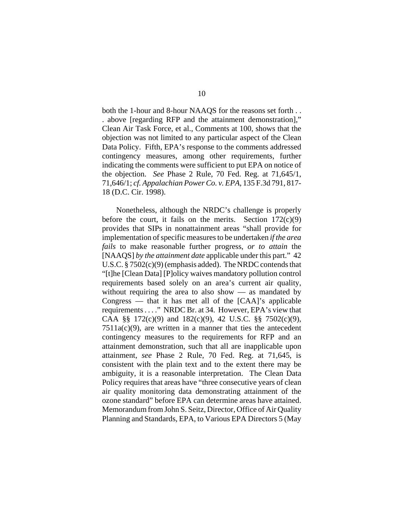both the 1-hour and 8-hour NAAQS for the reasons set forth . . . above [regarding RFP and the attainment demonstration]," Clean Air Task Force, et al., Comments at 100, shows that the objection was not limited to any particular aspect of the Clean Data Policy. Fifth, EPA's response to the comments addressed contingency measures, among other requirements, further indicating the comments were sufficient to put EPA on notice of the objection. *See* Phase 2 Rule, 70 Fed. Reg. at 71,645/1, 71,646/1; *cf. Appalachian Power Co. v. EPA*, 135 F.3d 791, 817- 18 (D.C. Cir. 1998).

Nonetheless, although the NRDC's challenge is properly before the court, it fails on the merits. Section  $172(c)(9)$ provides that SIPs in nonattainment areas "shall provide for implementation of specific measures to be undertaken *if the area fails* to make reasonable further progress, *or to attain* the [NAAQS] *by the attainment date* applicable under this part." 42 U.S.C. § 7502(c)(9) (emphasis added). The NRDC contends that "[t]he [Clean Data] [P]olicy waives mandatory pollution control requirements based solely on an area's current air quality, without requiring the area to also show  $\frac{1}{x}$  as mandated by  $Congress$  — that it has met all of the  $[CAA]$ 's applicable requirements . . . ." NRDC Br. at 34. However, EPA's view that CAA §§  $172(c)(9)$  and  $182(c)(9)$ , 42 U.S.C. §§  $7502(c)(9)$ ,  $7511a(c)(9)$ , are written in a manner that ties the antecedent contingency measures to the requirements for RFP and an attainment demonstration, such that all are inapplicable upon attainment, *see* Phase 2 Rule, 70 Fed. Reg. at 71,645, is consistent with the plain text and to the extent there may be ambiguity, it is a reasonable interpretation. The Clean Data Policy requires that areas have "three consecutive years of clean air quality monitoring data demonstrating attainment of the ozone standard" before EPA can determine areas have attained. Memorandum from John S. Seitz, Director, Office of Air Quality Planning and Standards, EPA, to Various EPA Directors 5 (May